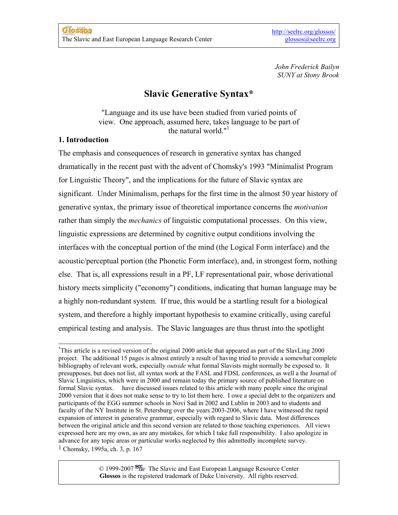*John Frederick Bailyn SUNY at Stony Brook*

# **Slavic Generative Syntax\***

"Language and its use have been studied from varied points of view. One approach, assumed here, takes language to be part of the natural world." $1$ 

# **1. Introduction**

The emphasis and consequences of research in generative syntax has changed dramatically in the recent past with the advent of Chomsky's 1993 "Minimalist Program for Linguistic Theory", and the implications for the future of Slavic syntax are significant. Under Minimalism, perhaps for the first time in the almost 50 year history of generative syntax, the primary issue of theoretical importance concerns the *motivation* rather than simply the *mechanics* of linguistic computational processes. On this view, linguistic expressions are determined by cognitive output conditions involving the interfaces with the conceptual portion of the mind (the Logical Form interface) and the acoustic/perceptual portion (the Phonetic Form interface), and, in strongest form, nothing else. That is, all expressions result in a PF, LF representational pair, whose derivational history meets simplicity ("economy") conditions, indicating that human language may be a highly non-redundant system. If true, this would be a startling result for a biological system, and therefore a highly important hypothesis to examine critically, using careful empirical testing and analysis. The Slavic languages are thus thrust into the spotlight

 $\degree$  1999-2007  $\frac{\text{see}}{\text{LRC}}$  The Slavic and East European Language Resource Center **Glossos** is the registered trademark of Duke University. All rights reserved.

<span id="page-0-0"></span> $\overline{a}$ \* This article is a revised version of the original 2000 article that appeared as part of the SlavLing 2000 project. The additional 15 pages is almost entirely a result of having tried to provide a somewhat complete bibliography of relevant work, especially *outside* what formal Slavists might normally be exposed to. It presupposes, but does not list, all syntax work at the FASL and FDSL conferences, as well a the Journal of Slavic Linguistics, which were in 2000 and remain today the primary source of published literature on formal Slavic syntax. have discussed issues related to this article with many people since the original 2000 version that it does not make sense to try to list them here. I owe a special debt to the organizers and participants of the EGG summer schools in Novi Sad in 2002 and Lublin in 2003 and to students and faculty of the NY Institute in St. Petersburg over the years 2003-2006, where I have witnessed the rapid expansion of interest in generative grammar, especially with regard to Slavic data. Most differences between the original article and this second version are related to those teaching experiences. All views expressed here are my own, as are any mistakes, for which I take full responsibility. I also apologize in advance for any topic areas or particular works neglected by this admittedly incomplete survey. 1 Chomsky, 1995a, ch. 3, p. 167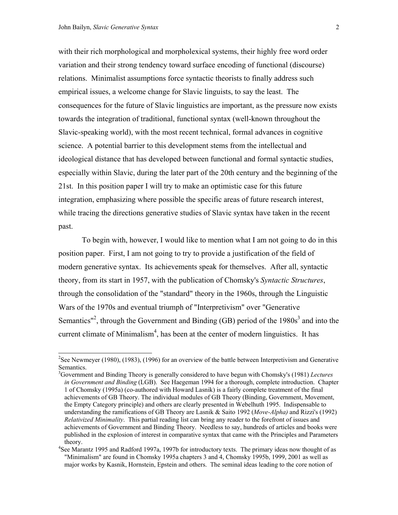with their rich morphological and morpholexical systems, their highly free word order variation and their strong tendency toward surface encoding of functional (discourse) relations. Minimalist assumptions force syntactic theorists to finally address such empirical issues, a welcome change for Slavic linguists, to say the least. The consequences for the future of Slavic linguistics are important, as the pressure now exists towards the integration of traditional, functional syntax (well-known throughout the Slavic-speaking world), with the most recent technical, formal advances in cognitive science. A potential barrier to this development stems from the intellectual and ideological distance that has developed between functional and formal syntactic studies, especially within Slavic, during the later part of the 20th century and the beginning of the 21st. In this position paper I will try to make an optimistic case for this future integration, emphasizing where possible the specific areas of future research interest, while tracing the directions generative studies of Slavic syntax have taken in the recent past.

 To begin with, however, I would like to mention what I am not going to do in this position paper. First, I am not going to try to provide a justification of the field of modern generative syntax. Its achievements speak for themselves. After all, syntactic theory, from its start in 1957, with the publication of Chomsky's *Syntactic Structures*, through the consolidation of the "standard" theory in the 1960s, through the Linguistic Wars of the 1970s and eventual triumph of "Interpretivism" over "Generative Semantics<sup>["2](#page-1-0)</sup>, through the Government and Binding (GB) period of the  $1980s<sup>3</sup>$  $1980s<sup>3</sup>$  $1980s<sup>3</sup>$  and into the current climate of Minimalism<sup>4</sup>, has been at the center of modern linguistics. It has

<span id="page-1-0"></span><sup>&</sup>lt;sup>2</sup>See Newmeyer (1980), (1983), (1996) for an overview of the battle between Interpretivism and Generative Semantics.

<span id="page-1-1"></span><sup>3</sup> Government and Binding Theory is generally considered to have begun with Chomsky's (1981) *Lectures in Government and Binding* (LGB).See Haegeman 1994 for a thorough, complete introduction. Chapter 1 of Chomsky (1995a) (co-authored with Howard Lasnik) is a fairly complete treatment of the final achievements of GB Theory. The individual modules of GB Theory (Binding, Government, Movement, the Empty Category principle) and others are clearly presented in Webelhuth 1995. Indispensable to understanding the ramifications of GB Theory are Lasnik & Saito 1992 (*Move-Alpha)* and Rizzi's (1992) *Relativized Minimality*. This partial reading list can bring any reader to the forefront of issues and achievements of Government and Binding Theory. Needless to say, hundreds of articles and books were published in the explosion of interest in comparative syntax that came with the Principles and Parameters theory. 4 See Marantz 1995 and Radford 1997a, 1997b for introductory texts. The primary ideas now thought of as

<span id="page-1-2"></span><sup>&</sup>quot;Minimalism" are found in Chomsky 1995a chapters 3 and 4, Chomsky 1995b, 1999, 2001 as well as major works by Kasnik, Hornstein, Epstein and others. The seminal ideas leading to the core notion of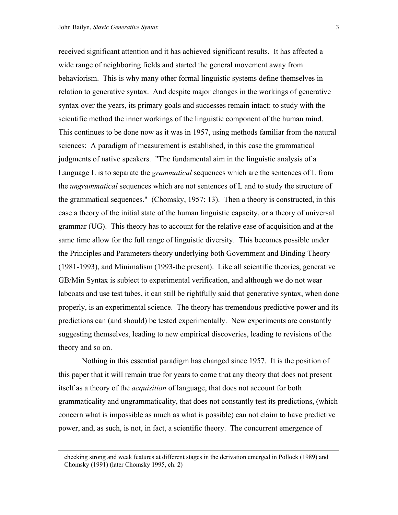received significant attention and it has achieved significant results. It has affected a wide range of neighboring fields and started the general movement away from behaviorism. This is why many other formal linguistic systems define themselves in relation to generative syntax. And despite major changes in the workings of generative syntax over the years, its primary goals and successes remain intact: to study with the scientific method the inner workings of the linguistic component of the human mind. This continues to be done now as it was in 1957, using methods familiar from the natural sciences: A paradigm of measurement is established, in this case the grammatical judgments of native speakers. "The fundamental aim in the linguistic analysis of a Language L is to separate the *grammatical* sequences which are the sentences of L from the *ungrammatical* sequences which are not sentences of L and to study the structure of the grammatical sequences." (Chomsky, 1957: 13). Then a theory is constructed, in this case a theory of the initial state of the human linguistic capacity, or a theory of universal grammar (UG). This theory has to account for the relative ease of acquisition and at the same time allow for the full range of linguistic diversity. This becomes possible under the Principles and Parameters theory underlying both Government and Binding Theory (1981-1993), and Minimalism (1993-the present). Like all scientific theories, generative GB/Min Syntax is subject to experimental verification, and although we do not wear labcoats and use test tubes, it can still be rightfully said that generative syntax, when done properly, is an experimental science. The theory has tremendous predictive power and its predictions can (and should) be tested experimentally. New experiments are constantly suggesting themselves, leading to new empirical discoveries, leading to revisions of the theory and so on.

 Nothing in this essential paradigm has changed since 1957. It is the position of this paper that it will remain true for years to come that any theory that does not present itself as a theory of the *acquisition* of language, that does not account for both grammaticality and ungrammaticality, that does not constantly test its predictions, (which concern what is impossible as much as what is possible) can not claim to have predictive power, and, as such, is not, in fact, a scientific theory. The concurrent emergence of

checking strong and weak features at different stages in the derivation emerged in Pollock (1989) and Chomsky (1991) (later Chomsky 1995, ch. 2)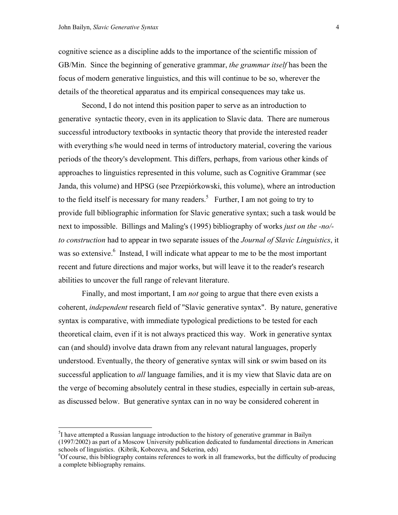cognitive science as a discipline adds to the importance of the scientific mission of GB/Min. Since the beginning of generative grammar, *the grammar itself* has been the focus of modern generative linguistics, and this will continue to be so, wherever the details of the theoretical apparatus and its empirical consequences may take us.

 Second, I do not intend this position paper to serve as an introduction to generative syntactic theory, even in its application to Slavic data. There are numerous successful introductory textbooks in syntactic theory that provide the interested reader with everything s/he would need in terms of introductory material, covering the various periods of the theory's development. This differs, perhaps, from various other kinds of approaches to linguistics represented in this volume, such as Cognitive Grammar (see Janda, this volume) and HPSG (see Przepiórkowski, this volume), where an introduction to the field itself is necessary for many readers.<sup>5</sup> Further, I am not going to try to provide full bibliographic information for Slavic generative syntax; such a task would be next to impossible. Billings and Maling's (1995) bibliography of works *just on the -no/ to construction* had to appear in two separate issues of the *Journal of Slavic Linguistics*, it was so extensive.<sup>[6](#page-3-1)</sup> Instead, I will indicate what appear to me to be the most important recent and future directions and major works, but will leave it to the reader's research abilities to uncover the full range of relevant literature.

 Finally, and most important, I am *not* going to argue that there even exists a coherent, *independent* research field of "Slavic generative syntax". By nature, generative syntax is comparative, with immediate typological predictions to be tested for each theoretical claim, even if it is not always practiced this way. Work in generative syntax can (and should) involve data drawn from any relevant natural languages, properly understood. Eventually, the theory of generative syntax will sink or swim based on its successful application to *all* language families, and it is my view that Slavic data are on the verge of becoming absolutely central in these studies, especially in certain sub-areas, as discussed below. But generative syntax can in no way be considered coherent in

<span id="page-3-0"></span> $5$ I have attempted a Russian language introduction to the history of generative grammar in Bailyn (1997/2002) as part of a Moscow University publication dedicated to fundamental directions in American schools of linguistics. (Kibrik, Kobozeva, and Sekerina, eds)

<span id="page-3-1"></span><sup>6</sup> Of course, this bibliography contains references to work in all frameworks, but the difficulty of producing a complete bibliography remains.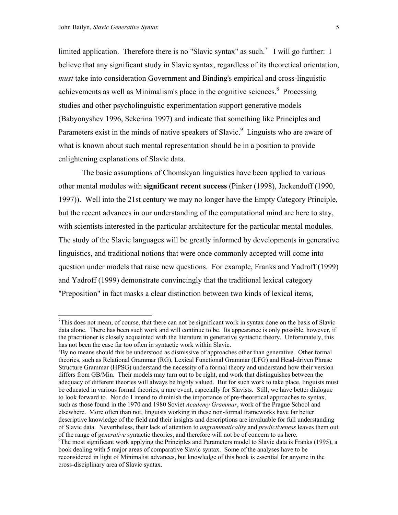limited application. Therefore there is no "Slavic syntax" as such.<sup>[7](#page-4-0)</sup> I will go further: I believe that any significant study in Slavic syntax, regardless of its theoretical orientation, *must* take into consideration Government and Binding's empirical and cross-linguistic achievements as well as Minimalism's place in the cognitive sciences.<sup>8</sup> Processing studies and other psycholinguistic experimentation support generative models (Babyonyshev 1996, Sekerina 1997) and indicate that something like Principles and Parameters exist in the minds of native speakers of Slavic.<sup>9</sup> Linguists who are aware of what is known about such mental representation should be in a position to provide enlightening explanations of Slavic data.

 The basic assumptions of Chomskyan linguistics have been applied to various other mental modules with **significant recent success** (Pinker (1998), Jackendoff (1990, 1997)). Well into the 21st century we may no longer have the Empty Category Principle, but the recent advances in our understanding of the computational mind are here to stay, with scientists interested in the particular architecture for the particular mental modules. The study of the Slavic languages will be greatly informed by developments in generative linguistics, and traditional notions that were once commonly accepted will come into question under models that raise new questions. For example, Franks and Yadroff (1999) and Yadroff (1999) demonstrate convincingly that the traditional lexical category "Preposition" in fact masks a clear distinction between two kinds of lexical items,

<span id="page-4-0"></span> $7$ This does not mean, of course, that there can not be significant work in syntax done on the basis of Slavic data alone. There has been such work and will continue to be. Its appearance is only possible, however, if the practitioner is closely acquainted with the literature in generative syntactic theory. Unfortunately, this has not been the case far too often in syntactic work within Slavic.

<span id="page-4-1"></span> ${}^{8}$ By no means should this be understood as dismissive of approaches other than generative. Other formal theories, such as Relational Grammar (RG), Lexical Functional Grammar (LFG) and Head-driven Phrase Structure Grammar (HPSG) understand the necessity of a formal theory and understand how their version differs from GB/Min. Their models may turn out to be right, and work that distinguishes between the adequacy of different theories will always be highly valued. But for such work to take place, linguists must be educated in various formal theories, a rare event, especially for Slavists. Still, we have better dialogue to look forward to. Nor do I intend to diminish the importance of pre-theoretical approaches to syntax, such as those found in the 1970 and 1980 Soviet *Academy Grammar*, work of the Prague School and elsewhere. More often than not, linguists working in these non-formal frameworks have far better descriptive knowledge of the field and their insights and descriptions are invaluable for full understanding of Slavic data. Nevertheless, their lack of attention to *ungrammaticality* and *predictiveness* leaves them out of the range of *generative* syntactic theories, and therefore will not be of concern to us here. 9

<span id="page-4-2"></span> $\degree$ The most significant work applying the Principles and Parameters model to Slavic data is Franks (1995), a book dealing with 5 major areas of comparative Slavic syntax. Some of the analyses have to be reconsidered in light of Minimalist advances, but knowledge of this book is essential for anyone in the cross-disciplinary area of Slavic syntax.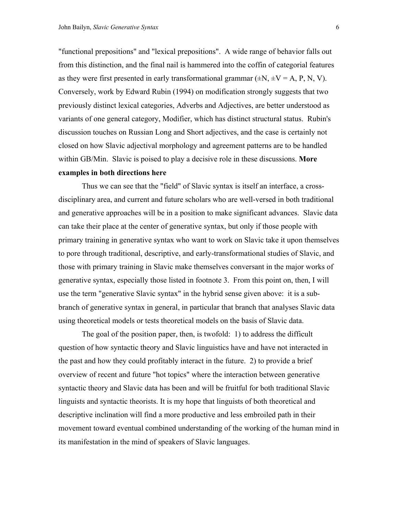"functional prepositions" and "lexical prepositions". A wide range of behavior falls out from this distinction, and the final nail is hammered into the coffin of categorial features as they were first presented in early transformational grammar  $(\pm N, \pm V = A, P, N, V)$ . Conversely, work by Edward Rubin (1994) on modification strongly suggests that two previously distinct lexical categories, Adverbs and Adjectives, are better understood as variants of one general category, Modifier, which has distinct structural status. Rubin's discussion touches on Russian Long and Short adjectives, and the case is certainly not closed on how Slavic adjectival morphology and agreement patterns are to be handled within GB/Min. Slavic is poised to play a decisive role in these discussions. **More examples in both directions here**

 Thus we can see that the "field" of Slavic syntax is itself an interface, a crossdisciplinary area, and current and future scholars who are well-versed in both traditional and generative approaches will be in a position to make significant advances. Slavic data can take their place at the center of generative syntax, but only if those people with primary training in generative syntax who want to work on Slavic take it upon themselves to pore through traditional, descriptive, and early-transformational studies of Slavic, and those with primary training in Slavic make themselves conversant in the major works of generative syntax, especially those listed in footnote 3. From this point on, then, I will use the term "generative Slavic syntax" in the hybrid sense given above: it is a subbranch of generative syntax in general, in particular that branch that analyses Slavic data using theoretical models or tests theoretical models on the basis of Slavic data.

 The goal of the position paper, then, is twofold: 1) to address the difficult question of how syntactic theory and Slavic linguistics have and have not interacted in the past and how they could profitably interact in the future. 2) to provide a brief overview of recent and future "hot topics" where the interaction between generative syntactic theory and Slavic data has been and will be fruitful for both traditional Slavic linguists and syntactic theorists. It is my hope that linguists of both theoretical and descriptive inclination will find a more productive and less embroiled path in their movement toward eventual combined understanding of the working of the human mind in its manifestation in the mind of speakers of Slavic languages.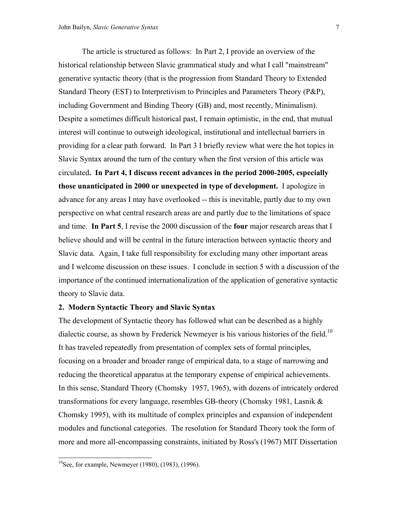The article is structured as follows: In Part 2, I provide an overview of the historical relationship between Slavic grammatical study and what I call "mainstream" generative syntactic theory (that is the progression from Standard Theory to Extended Standard Theory (EST) to Interpretivism to Principles and Parameters Theory (P&P), including Government and Binding Theory (GB) and, most recently, Minimalism). Despite a sometimes difficult historical past, I remain optimistic, in the end, that mutual interest will continue to outweigh ideological, institutional and intellectual barriers in providing for a clear path forward. In Part 3 I briefly review what were the hot topics in Slavic Syntax around the turn of the century when the first version of this article was circulated**. In Part 4, I discuss recent advances in the period 2000-2005, especially those unanticipated in 2000 or unexpected in type of development.** I apologize in advance for any areas I may have overlooked -- this is inevitable, partly due to my own perspective on what central research areas are and partly due to the limitations of space and time. **In Part 5**, I revise the 2000 discussion of the **four** major research areas that I believe should and will be central in the future interaction between syntactic theory and Slavic data. Again, I take full responsibility for excluding many other important areas and I welcome discussion on these issues. I conclude in section 5 with a discussion of the importance of the continued internationalization of the application of generative syntactic theory to Slavic data.

# **2. Modern Syntactic Theory and Slavic Syntax**

The development of Syntactic theory has followed what can be described as a highly dialectic course, as shown by Frederick Newmeyer is his various histories of the field.<sup>10</sup> It has traveled repeatedly from presentation of complex sets of formal principles, focusing on a broader and broader range of empirical data, to a stage of narrowing and reducing the theoretical apparatus at the temporary expense of empirical achievements. In this sense, Standard Theory (Chomsky 1957, 1965), with dozens of intricately ordered transformations for every language, resembles GB-theory (Chomsky 1981, Lasnik & Chomsky 1995), with its multitude of complex principles and expansion of independent modules and functional categories. The resolution for Standard Theory took the form of more and more all-encompassing constraints, initiated by Ross's (1967) MIT Dissertation

 $\overline{a}$ 

<span id="page-6-0"></span><sup>&</sup>lt;sup>10</sup>See, for example, Newmeyer (1980), (1983), (1996).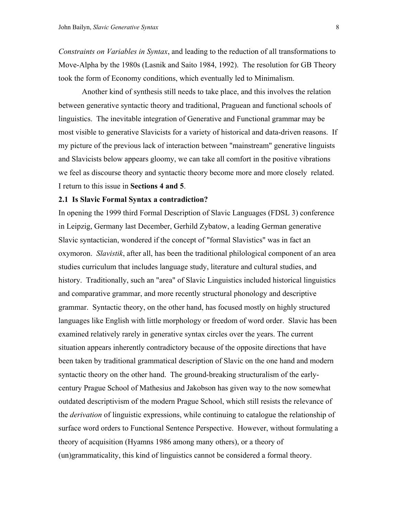*Constraints on Variables in Syntax*, and leading to the reduction of all transformations to Move-Alpha by the 1980s (Lasnik and Saito 1984, 1992). The resolution for GB Theory took the form of Economy conditions, which eventually led to Minimalism.

 Another kind of synthesis still needs to take place, and this involves the relation between generative syntactic theory and traditional, Praguean and functional schools of linguistics. The inevitable integration of Generative and Functional grammar may be most visible to generative Slavicists for a variety of historical and data-driven reasons. If my picture of the previous lack of interaction between "mainstream" generative linguists and Slavicists below appears gloomy, we can take all comfort in the positive vibrations we feel as discourse theory and syntactic theory become more and more closely related. I return to this issue in **Sections 4 and 5**.

#### **2.1 Is Slavic Formal Syntax a contradiction?**

In opening the 1999 third Formal Description of Slavic Languages (FDSL 3) conference in Leipzig, Germany last December, Gerhild Zybatow, a leading German generative Slavic syntactician, wondered if the concept of "formal Slavistics" was in fact an oxymoron. *Slavistik*, after all, has been the traditional philological component of an area studies curriculum that includes language study, literature and cultural studies, and history. Traditionally, such an "area" of Slavic Linguistics included historical linguistics and comparative grammar, and more recently structural phonology and descriptive grammar. Syntactic theory, on the other hand, has focused mostly on highly structured languages like English with little morphology or freedom of word order. Slavic has been examined relatively rarely in generative syntax circles over the years. The current situation appears inherently contradictory because of the opposite directions that have been taken by traditional grammatical description of Slavic on the one hand and modern syntactic theory on the other hand. The ground-breaking structuralism of the earlycentury Prague School of Mathesius and Jakobson has given way to the now somewhat outdated descriptivism of the modern Prague School, which still resists the relevance of the *derivation* of linguistic expressions, while continuing to catalogue the relationship of surface word orders to Functional Sentence Perspective. However, without formulating a theory of acquisition (Hyamns 1986 among many others), or a theory of (un)grammaticality, this kind of linguistics cannot be considered a formal theory.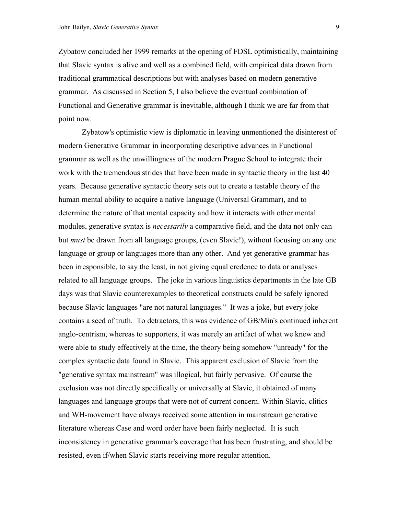Zybatow concluded her 1999 remarks at the opening of FDSL optimistically, maintaining that Slavic syntax is alive and well as a combined field, with empirical data drawn from traditional grammatical descriptions but with analyses based on modern generative grammar. As discussed in Section 5, I also believe the eventual combination of Functional and Generative grammar is inevitable, although I think we are far from that point now.

 Zybatow's optimistic view is diplomatic in leaving unmentioned the disinterest of modern Generative Grammar in incorporating descriptive advances in Functional grammar as well as the unwillingness of the modern Prague School to integrate their work with the tremendous strides that have been made in syntactic theory in the last 40 years. Because generative syntactic theory sets out to create a testable theory of the human mental ability to acquire a native language (Universal Grammar), and to determine the nature of that mental capacity and how it interacts with other mental modules, generative syntax is *necessarily* a comparative field, and the data not only can but *must* be drawn from all language groups, (even Slavic!), without focusing on any one language or group or languages more than any other. And yet generative grammar has been irresponsible, to say the least, in not giving equal credence to data or analyses related to all language groups. The joke in various linguistics departments in the late GB days was that Slavic counterexamples to theoretical constructs could be safely ignored because Slavic languages "are not natural languages." It was a joke, but every joke contains a seed of truth. To detractors, this was evidence of GB/Min's continued inherent anglo-centrism, whereas to supporters, it was merely an artifact of what we knew and were able to study effectively at the time, the theory being somehow "unready" for the complex syntactic data found in Slavic. This apparent exclusion of Slavic from the "generative syntax mainstream" was illogical, but fairly pervasive. Of course the exclusion was not directly specifically or universally at Slavic, it obtained of many languages and language groups that were not of current concern. Within Slavic, clitics and WH-movement have always received some attention in mainstream generative literature whereas Case and word order have been fairly neglected. It is such inconsistency in generative grammar's coverage that has been frustrating, and should be resisted, even if/when Slavic starts receiving more regular attention.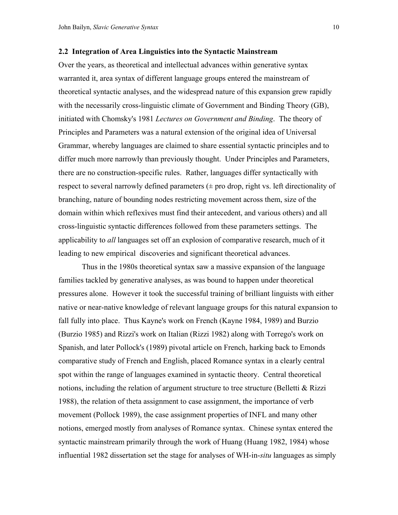### **2.2 Integration of Area Linguistics into the Syntactic Mainstream**

Over the years, as theoretical and intellectual advances within generative syntax warranted it, area syntax of different language groups entered the mainstream of theoretical syntactic analyses, and the widespread nature of this expansion grew rapidly with the necessarily cross-linguistic climate of Government and Binding Theory (GB), initiated with Chomsky's 1981 *Lectures on Government and Binding*. The theory of Principles and Parameters was a natural extension of the original idea of Universal Grammar, whereby languages are claimed to share essential syntactic principles and to differ much more narrowly than previously thought. Under Principles and Parameters, there are no construction-specific rules. Rather, languages differ syntactically with respect to several narrowly defined parameters  $(\pm$  pro drop, right vs. left directionality of branching, nature of bounding nodes restricting movement across them, size of the domain within which reflexives must find their antecedent, and various others) and all cross-linguistic syntactic differences followed from these parameters settings. The applicability to *all* languages set off an explosion of comparative research, much of it leading to new empirical discoveries and significant theoretical advances.

 Thus in the 1980s theoretical syntax saw a massive expansion of the language families tackled by generative analyses, as was bound to happen under theoretical pressures alone. However it took the successful training of brilliant linguists with either native or near-native knowledge of relevant language groups for this natural expansion to fall fully into place. Thus Kayne's work on French (Kayne 1984, 1989) and Burzio (Burzio 1985) and Rizzi's work on Italian (Rizzi 1982) along with Torrego's work on Spanish, and later Pollock's (1989) pivotal article on French, harking back to Emonds comparative study of French and English, placed Romance syntax in a clearly central spot within the range of languages examined in syntactic theory. Central theoretical notions, including the relation of argument structure to tree structure (Belletti & Rizzi 1988), the relation of theta assignment to case assignment, the importance of verb movement (Pollock 1989), the case assignment properties of INFL and many other notions, emerged mostly from analyses of Romance syntax. Chinese syntax entered the syntactic mainstream primarily through the work of Huang (Huang 1982, 1984) whose influential 1982 dissertation set the stage for analyses of WH-in-*situ* languages as simply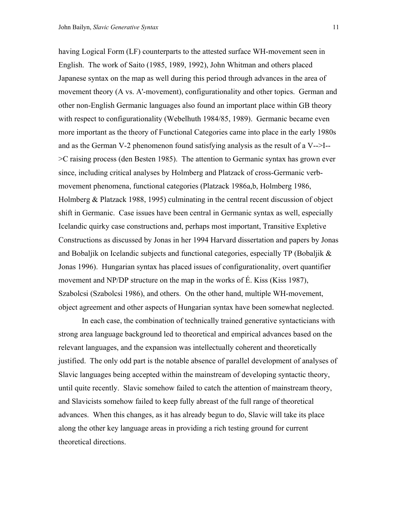having Logical Form (LF) counterparts to the attested surface WH-movement seen in English. The work of Saito (1985, 1989, 1992), John Whitman and others placed Japanese syntax on the map as well during this period through advances in the area of movement theory (A vs. A'-movement), configurationality and other topics. German and other non-English Germanic languages also found an important place within GB theory with respect to configurationality (Webelhuth 1984/85, 1989). Germanic became even more important as the theory of Functional Categories came into place in the early 1980s and as the German V-2 phenomenon found satisfying analysis as the result of a V-->I-- >C raising process (den Besten 1985). The attention to Germanic syntax has grown ever since, including critical analyses by Holmberg and Platzack of cross-Germanic verbmovement phenomena, functional categories (Platzack 1986a,b, Holmberg 1986, Holmberg & Platzack 1988, 1995) culminating in the central recent discussion of object shift in Germanic. Case issues have been central in Germanic syntax as well, especially Icelandic quirky case constructions and, perhaps most important, Transitive Expletive Constructions as discussed by Jonas in her 1994 Harvard dissertation and papers by Jonas and Bobaljik on Icelandic subjects and functional categories, especially TP (Bobaljik & Jonas 1996). Hungarian syntax has placed issues of configurationality, overt quantifier movement and NP/DP structure on the map in the works of É. Kiss (Kiss 1987), Szabolcsi (Szabolcsi 1986), and others. On the other hand, multiple WH-movement, object agreement and other aspects of Hungarian syntax have been somewhat neglected.

 In each case, the combination of technically trained generative syntacticians with strong area language background led to theoretical and empirical advances based on the relevant languages, and the expansion was intellectually coherent and theoretically justified. The only odd part is the notable absence of parallel development of analyses of Slavic languages being accepted within the mainstream of developing syntactic theory, until quite recently. Slavic somehow failed to catch the attention of mainstream theory, and Slavicists somehow failed to keep fully abreast of the full range of theoretical advances. When this changes, as it has already begun to do, Slavic will take its place along the other key language areas in providing a rich testing ground for current theoretical directions.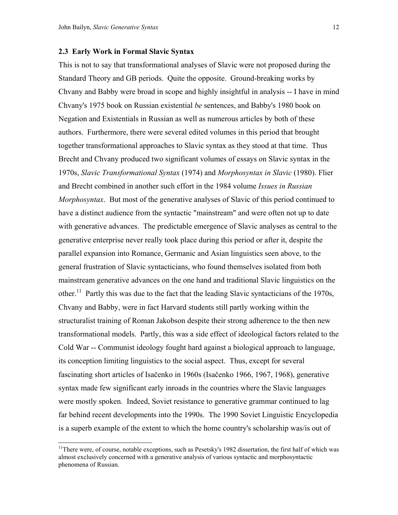l

### **2.3 Early Work in Formal Slavic Syntax**

This is not to say that transformational analyses of Slavic were not proposed during the Standard Theory and GB periods. Quite the opposite. Ground-breaking works by Chvany and Babby were broad in scope and highly insightful in analysis -- I have in mind Chvany's 1975 book on Russian existential *be* sentences, and Babby's 1980 book on Negation and Existentials in Russian as well as numerous articles by both of these authors. Furthermore, there were several edited volumes in this period that brought together transformational approaches to Slavic syntax as they stood at that time. Thus Brecht and Chvany produced two significant volumes of essays on Slavic syntax in the 1970s, *Slavic Transformational Syntax* (1974) and *Morphosyntax in Slavic* (1980). Flier and Brecht combined in another such effort in the 1984 volume *Issues in Russian Morphosyntax*. But most of the generative analyses of Slavic of this period continued to have a distinct audience from the syntactic "mainstream" and were often not up to date with generative advances. The predictable emergence of Slavic analyses as central to the generative enterprise never really took place during this period or after it, despite the parallel expansion into Romance, Germanic and Asian linguistics seen above, to the general frustration of Slavic syntacticians, who found themselves isolated from both mainstream generative advances on the one hand and traditional Slavic linguistics on the other.<sup>11</sup> Partly this was due to the fact that the leading Slavic syntacticians of the 1970s, Chvany and Babby, were in fact Harvard students still partly working within the structuralist training of Roman Jakobson despite their strong adherence to the then new transformational models. Partly, this was a side effect of ideological factors related to the Cold War -- Communist ideology fought hard against a biological approach to language, its conception limiting linguistics to the social aspect. Thus, except for several fascinating short articles of Isačenko in 1960s (Isačenko 1966, 1967, 1968), generative syntax made few significant early inroads in the countries where the Slavic languages were mostly spoken. Indeed, Soviet resistance to generative grammar continued to lag far behind recent developments into the 1990s. The 1990 Soviet Linguistic Encyclopedia is a superb example of the extent to which the home country's scholarship was/is out of

<span id="page-11-0"></span><sup>&</sup>lt;sup>11</sup>There were, of course, notable exceptions, such as Pesetsky's 1982 dissertation, the first half of which was almost exclusively concerned with a generative analysis of various syntactic and morphosyntactic phenomena of Russian.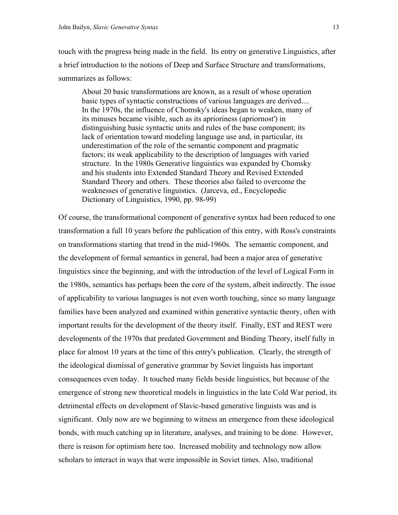touch with the progress being made in the field. Its entry on generative Linguistics, after a brief introduction to the notions of Deep and Surface Structure and transformations, summarizes as follows:

About 20 basic transformations are known, as a result of whose operation basic types of syntactic constructions of various languages are derived.... In the 1970s, the influence of Chomsky's ideas began to weaken, many of its minuses became visible, such as its aprioriness (apriornost') in distinguishing basic syntactic units and rules of the base component; its lack of orientation toward modeling language use and, in particular, its underestimation of the role of the semantic component and pragmatic factors; its weak applicability to the description of languages with varied structure. In the 1980s Generative linguistics was expanded by Chomsky and his students into Extended Standard Theory and Revised Extended Standard Theory and others. These theories also failed to overcome the weaknesses of generative linguistics. (Jarceva, ed., Encyclopedic Dictionary of Linguistics, 1990, pp. 98-99)

Of course, the transformational component of generative syntax had been reduced to one transformation a full 10 years before the publication of this entry, with Ross's constraints on transformations starting that trend in the mid-1960s. The semantic component, and the development of formal semantics in general, had been a major area of generative linguistics since the beginning, and with the introduction of the level of Logical Form in the 1980s, semantics has perhaps been the core of the system, albeit indirectly. The issue of applicability to various languages is not even worth touching, since so many language families have been analyzed and examined within generative syntactic theory, often with important results for the development of the theory itself. Finally, EST and REST were developments of the 1970s that predated Government and Binding Theory, itself fully in place for almost 10 years at the time of this entry's publication. Clearly, the strength of the ideological dismissal of generative grammar by Soviet linguists has important consequences even today. It touched many fields beside linguistics, but because of the emergence of strong new theoretical models in linguistics in the late Cold War period, its detrimental effects on development of Slavic-based generative linguists was and is significant. Only now are we beginning to witness an emergence from these ideological bonds, with much catching up in literature, analyses, and training to be done. However, there is reason for optimism here too. Increased mobility and technology now allow scholars to interact in ways that were impossible in Soviet times. Also, traditional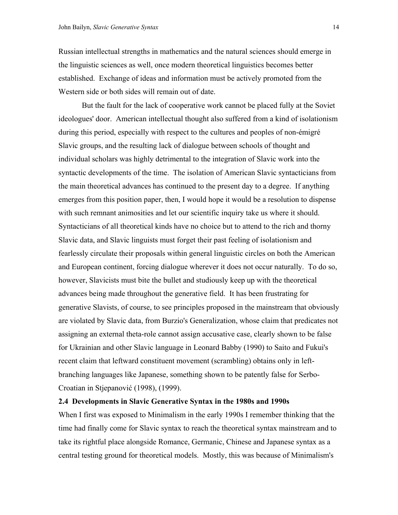Russian intellectual strengths in mathematics and the natural sciences should emerge in the linguistic sciences as well, once modern theoretical linguistics becomes better established. Exchange of ideas and information must be actively promoted from the Western side or both sides will remain out of date.

 But the fault for the lack of cooperative work cannot be placed fully at the Soviet ideologues' door. American intellectual thought also suffered from a kind of isolationism during this period, especially with respect to the cultures and peoples of non-émigré Slavic groups, and the resulting lack of dialogue between schools of thought and individual scholars was highly detrimental to the integration of Slavic work into the syntactic developments of the time. The isolation of American Slavic syntacticians from the main theoretical advances has continued to the present day to a degree. If anything emerges from this position paper, then, I would hope it would be a resolution to dispense with such remnant animosities and let our scientific inquiry take us where it should. Syntacticians of all theoretical kinds have no choice but to attend to the rich and thorny Slavic data, and Slavic linguists must forget their past feeling of isolationism and fearlessly circulate their proposals within general linguistic circles on both the American and European continent, forcing dialogue wherever it does not occur naturally. To do so, however, Slavicists must bite the bullet and studiously keep up with the theoretical advances being made throughout the generative field. It has been frustrating for generative Slavists, of course, to see principles proposed in the mainstream that obviously are violated by Slavic data, from Burzio's Generalization, whose claim that predicates not assigning an external theta-role cannot assign accusative case, clearly shown to be false for Ukrainian and other Slavic language in Leonard Babby (1990) to Saito and Fukui's recent claim that leftward constituent movement (scrambling) obtains only in leftbranching languages like Japanese, something shown to be patently false for Serbo-Croatian in Stjepanović (1998), (1999).

### **2.4 Developments in Slavic Generative Syntax in the 1980s and 1990s**

When I first was exposed to Minimalism in the early 1990s I remember thinking that the time had finally come for Slavic syntax to reach the theoretical syntax mainstream and to take its rightful place alongside Romance, Germanic, Chinese and Japanese syntax as a central testing ground for theoretical models. Mostly, this was because of Minimalism's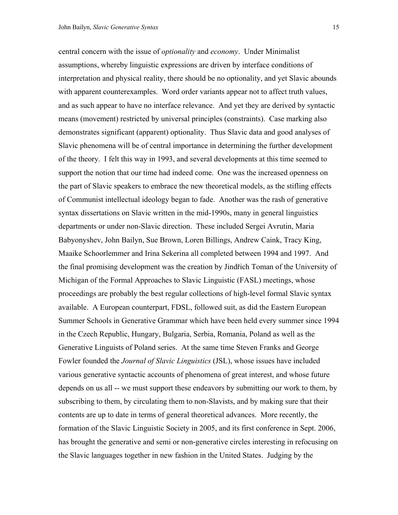central concern with the issue of *optionality* and *economy*. Under Minimalist assumptions, whereby linguistic expressions are driven by interface conditions of interpretation and physical reality, there should be no optionality, and yet Slavic abounds with apparent counterexamples. Word order variants appear not to affect truth values, and as such appear to have no interface relevance. And yet they are derived by syntactic means (movement) restricted by universal principles (constraints). Case marking also demonstrates significant (apparent) optionality. Thus Slavic data and good analyses of Slavic phenomena will be of central importance in determining the further development of the theory. I felt this way in 1993, and several developments at this time seemed to support the notion that our time had indeed come. One was the increased openness on the part of Slavic speakers to embrace the new theoretical models, as the stifling effects of Communist intellectual ideology began to fade. Another was the rash of generative syntax dissertations on Slavic written in the mid-1990s, many in general linguistics departments or under non-Slavic direction. These included Sergei Avrutin, Maria Babyonyshev, John Bailyn, Sue Brown, Loren Billings, Andrew Caink, Tracy King, Maaike Schoorlemmer and Irina Sekerina all completed between 1994 and 1997. And the final promising development was the creation by Jindřich Toman of the University of Michigan of the Formal Approaches to Slavic Linguistic (FASL) meetings, whose proceedings are probably the best regular collections of high-level formal Slavic syntax available. A European counterpart, FDSL, followed suit, as did the Eastern European Summer Schools in Generative Grammar which have been held every summer since 1994 in the Czech Republic, Hungary, Bulgaria, Serbia, Romania, Poland as well as the Generative Linguists of Poland series. At the same time Steven Franks and George Fowler founded the *Journal of Slavic Linguistics* (JSL), whose issues have included various generative syntactic accounts of phenomena of great interest, and whose future depends on us all -- we must support these endeavors by submitting our work to them, by subscribing to them, by circulating them to non-Slavists, and by making sure that their contents are up to date in terms of general theoretical advances. More recently, the formation of the Slavic Linguistic Society in 2005, and its first conference in Sept. 2006, has brought the generative and semi or non-generative circles interesting in refocusing on

the Slavic languages together in new fashion in the United States. Judging by the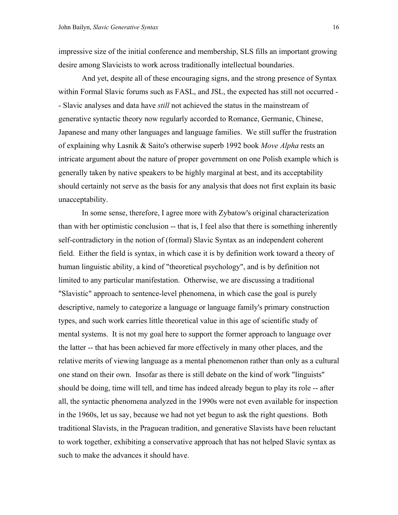impressive size of the initial conference and membership, SLS fills an important growing desire among Slavicists to work across traditionally intellectual boundaries.

 And yet, despite all of these encouraging signs, and the strong presence of Syntax within Formal Slavic forums such as FASL, and JSL, the expected has still not occurred - - Slavic analyses and data have *still* not achieved the status in the mainstream of generative syntactic theory now regularly accorded to Romance, Germanic, Chinese, Japanese and many other languages and language families. We still suffer the frustration of explaining why Lasnik & Saito's otherwise superb 1992 book *Move Alpha* rests an intricate argument about the nature of proper government on one Polish example which is generally taken by native speakers to be highly marginal at best, and its acceptability should certainly not serve as the basis for any analysis that does not first explain its basic unacceptability.

 In some sense, therefore, I agree more with Zybatow's original characterization than with her optimistic conclusion -- that is, I feel also that there is something inherently self-contradictory in the notion of (formal) Slavic Syntax as an independent coherent field. Either the field is syntax, in which case it is by definition work toward a theory of human linguistic ability, a kind of "theoretical psychology", and is by definition not limited to any particular manifestation. Otherwise, we are discussing a traditional "Slavistic" approach to sentence-level phenomena, in which case the goal is purely descriptive, namely to categorize a language or language family's primary construction types, and such work carries little theoretical value in this age of scientific study of mental systems. It is not my goal here to support the former approach to language over the latter -- that has been achieved far more effectively in many other places, and the relative merits of viewing language as a mental phenomenon rather than only as a cultural one stand on their own. Insofar as there is still debate on the kind of work "linguists" should be doing, time will tell, and time has indeed already begun to play its role -- after all, the syntactic phenomena analyzed in the 1990s were not even available for inspection in the 1960s, let us say, because we had not yet begun to ask the right questions. Both traditional Slavists, in the Praguean tradition, and generative Slavists have been reluctant to work together, exhibiting a conservative approach that has not helped Slavic syntax as such to make the advances it should have.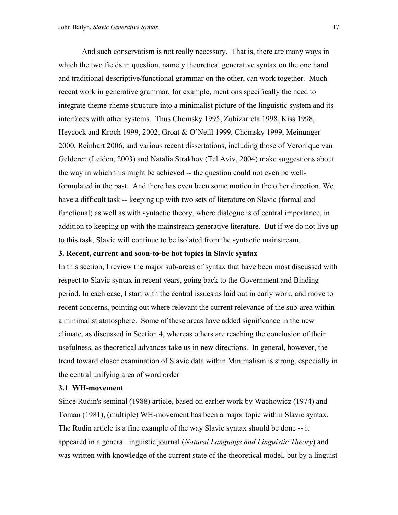And such conservatism is not really necessary. That is, there are many ways in which the two fields in question, namely theoretical generative syntax on the one hand and traditional descriptive/functional grammar on the other, can work together. Much recent work in generative grammar, for example, mentions specifically the need to integrate theme-rheme structure into a minimalist picture of the linguistic system and its interfaces with other systems. Thus Chomsky 1995, Zubizarreta 1998, Kiss 1998, Heycock and Kroch 1999, 2002, Groat & O'Neill 1999, Chomsky 1999, Meinunger 2000, Reinhart 2006, and various recent dissertations, including those of Veronique van Gelderen (Leiden, 2003) and Natalia Strakhov (Tel Aviv, 2004) make suggestions about the way in which this might be achieved -- the question could not even be wellformulated in the past. And there has even been some motion in the other direction. We have a difficult task -- keeping up with two sets of literature on Slavic (formal and functional) as well as with syntactic theory, where dialogue is of central importance, in addition to keeping up with the mainstream generative literature. But if we do not live up to this task, Slavic will continue to be isolated from the syntactic mainstream.

### **3. Recent, current and soon-to-be hot topics in Slavic syntax**

In this section, I review the major sub-areas of syntax that have been most discussed with respect to Slavic syntax in recent years, going back to the Government and Binding period. In each case, I start with the central issues as laid out in early work, and move to recent concerns, pointing out where relevant the current relevance of the sub-area within a minimalist atmosphere. Some of these areas have added significance in the new climate, as discussed in Section 4, whereas others are reaching the conclusion of their usefulness, as theoretical advances take us in new directions. In general, however, the trend toward closer examination of Slavic data within Minimalism is strong, especially in the central unifying area of word order

# **3.1 WH-movement**

Since Rudin's seminal (1988) article, based on earlier work by Wachowicz (1974) and Toman (1981), (multiple) WH-movement has been a major topic within Slavic syntax. The Rudin article is a fine example of the way Slavic syntax should be done -- it appeared in a general linguistic journal (*Natural Language and Linguistic Theory*) and was written with knowledge of the current state of the theoretical model, but by a linguist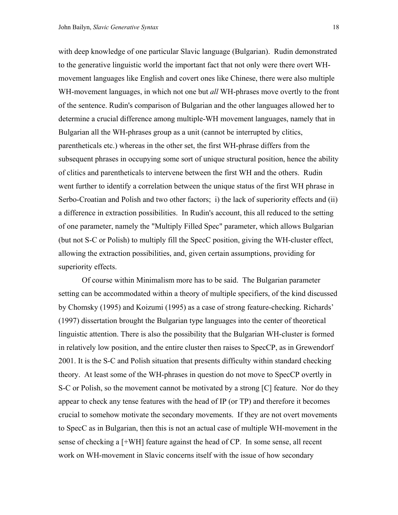with deep knowledge of one particular Slavic language (Bulgarian). Rudin demonstrated to the generative linguistic world the important fact that not only were there overt WHmovement languages like English and covert ones like Chinese, there were also multiple WH-movement languages, in which not one but *all* WH-phrases move overtly to the front of the sentence. Rudin's comparison of Bulgarian and the other languages allowed her to determine a crucial difference among multiple-WH movement languages, namely that in Bulgarian all the WH-phrases group as a unit (cannot be interrupted by clitics, parentheticals etc.) whereas in the other set, the first WH-phrase differs from the subsequent phrases in occupying some sort of unique structural position, hence the ability of clitics and parentheticals to intervene between the first WH and the others. Rudin went further to identify a correlation between the unique status of the first WH phrase in Serbo-Croatian and Polish and two other factors; i) the lack of superiority effects and (ii) a difference in extraction possibilities. In Rudin's account, this all reduced to the setting of one parameter, namely the "Multiply Filled Spec" parameter, which allows Bulgarian (but not S-C or Polish) to multiply fill the SpecC position, giving the WH-cluster effect, allowing the extraction possibilities, and, given certain assumptions, providing for superiority effects.

 Of course within Minimalism more has to be said. The Bulgarian parameter setting can be accommodated within a theory of multiple specifiers, of the kind discussed by Chomsky (1995) and Koizumi (1995) as a case of strong feature-checking. Richards' (1997) dissertation brought the Bulgarian type languages into the center of theoretical linguistic attention. There is also the possibility that the Bulgarian WH-cluster is formed in relatively low position, and the entire cluster then raises to SpecCP, as in Grewendorf 2001. It is the S-C and Polish situation that presents difficulty within standard checking theory. At least some of the WH-phrases in question do not move to SpecCP overtly in S-C or Polish, so the movement cannot be motivated by a strong [C] feature. Nor do they appear to check any tense features with the head of IP (or TP) and therefore it becomes crucial to somehow motivate the secondary movements. If they are not overt movements to SpecC as in Bulgarian, then this is not an actual case of multiple WH-movement in the sense of checking a [+WH] feature against the head of CP. In some sense, all recent work on WH-movement in Slavic concerns itself with the issue of how secondary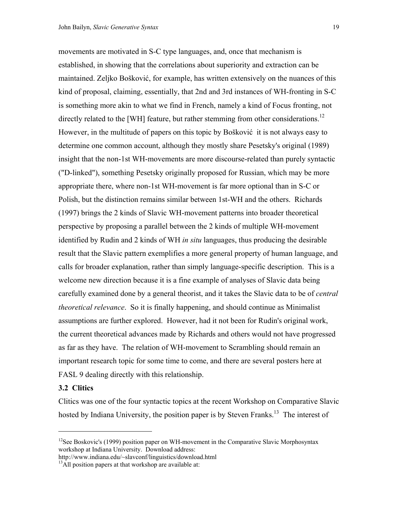movements are motivated in S-C type languages, and, once that mechanism is established, in showing that the correlations about superiority and extraction can be maintained. Zeljko Bošković, for example, has written extensively on the nuances of this kind of proposal, claiming, essentially, that 2nd and 3rd instances of WH-fronting in S-C is something more akin to what we find in French, namely a kind of Focus fronting, not directly related to the [WH] feature, but rather stemming from other considerations.<sup>12</sup> However, in the multitude of papers on this topic by Bošković it is not always easy to determine one common account, although they mostly share Pesetsky's original (1989) insight that the non-1st WH-movements are more discourse-related than purely syntactic ("D-linked"), something Pesetsky originally proposed for Russian, which may be more appropriate there, where non-1st WH-movement is far more optional than in S-C or Polish, but the distinction remains similar between 1st-WH and the others. Richards (1997) brings the 2 kinds of Slavic WH-movement patterns into broader theoretical perspective by proposing a parallel between the 2 kinds of multiple WH-movement identified by Rudin and 2 kinds of WH *in situ* languages, thus producing the desirable result that the Slavic pattern exemplifies a more general property of human language, and calls for broader explanation, rather than simply language-specific description. This is a welcome new direction because it is a fine example of analyses of Slavic data being carefully examined done by a general theorist, and it takes the Slavic data to be of *central theoretical relevance*. So it is finally happening, and should continue as Minimalist assumptions are further explored. However, had it not been for Rudin's original work, the current theoretical advances made by Richards and others would not have progressed as far as they have. The relation of WH-movement to Scrambling should remain an important research topic for some time to come, and there are several posters here at FASL 9 dealing directly with this relationship.

# **3.2 Clitics**

 $\overline{a}$ 

Clitics was one of the four syntactic topics at the recent Workshop on Comparative Slavic hosted by Indiana University, the position paper is by Steven Franks.<sup>13</sup> The interest of

<span id="page-18-0"></span><sup>&</sup>lt;sup>12</sup>See Boskovic's (1999) position paper on WH-movement in the Comparative Slavic Morphosyntax workshop at Indiana University. Download address:

http://www.indiana.edu/~slavconf/linguistics/download.html <sup>13</sup>All position papers at that workshop are available at:

<span id="page-18-1"></span>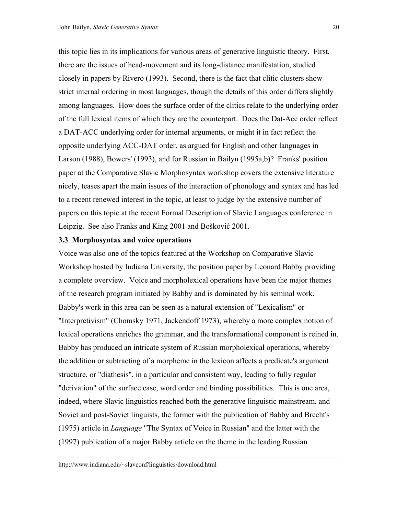this topic lies in its implications for various areas of generative linguistic theory. First, there are the issues of head-movement and its long-distance manifestation, studied closely in papers by Rivero (1993). Second, there is the fact that clitic clusters show strict internal ordering in most languages, though the details of this order differs slightly among languages. How does the surface order of the clitics relate to the underlying order of the full lexical items of which they are the counterpart. Does the Dat-Acc order reflect a DAT-ACC underlying order for internal arguments, or might it in fact reflect the opposite underlying ACC-DAT order, as argued for English and other languages in Larson (1988), Bowers' (1993), and for Russian in Bailyn (1995a,b)? Franks' position paper at the Comparative Slavic Morphosyntax workshop covers the extensive literature nicely, teases apart the main issues of the interaction of phonology and syntax and has led to a recent renewed interest in the topic, at least to judge by the extensive number of papers on this topic at the recent Formal Description of Slavic Languages conference in Leipzig. See also Franks and King 2001 and Bošković 2001.

# **3.3 Morphosyntax and voice operations**

Voice was also one of the topics featured at the Workshop on Comparative Slavic Workshop hosted by Indiana University, the position paper by Leonard Babby providing a complete overview. Voice and morpholexical operations have been the major themes of the research program initiated by Babby and is dominated by his seminal work. Babby's work in this area can be seen as a natural extension of "Lexicalism" or "Interpretivism" (Chomsky 1971, Jackendoff 1973), whereby a more complex notion of lexical operations enriches the grammar, and the transformational component is reined in. Babby has produced an intricate system of Russian morpholexical operations, whereby the addition or subtracting of a morpheme in the lexicon affects a predicate's argument structure, or "diathesis", in a particular and consistent way, leading to fully regular "derivation" of the surface case, word order and binding possibilities. This is one area, indeed, where Slavic linguistics reached both the generative linguistic mainstream, and Soviet and post-Soviet linguists, the former with the publication of Babby and Brecht's (1975) article in *Language* "The Syntax of Voice in Russian" and the latter with the (1997) publication of a major Babby article on the theme in the leading Russian

 $\overline{a}$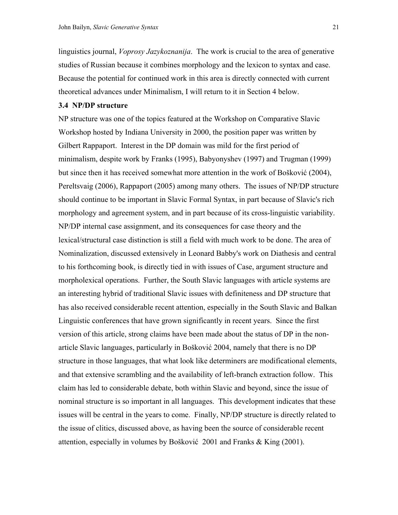linguistics journal, *Voprosy Jazykoznanija*. The work is crucial to the area of generative studies of Russian because it combines morphology and the lexicon to syntax and case. Because the potential for continued work in this area is directly connected with current theoretical advances under Minimalism, I will return to it in Section 4 below.

# **3.4 NP/DP structure**

NP structure was one of the topics featured at the Workshop on Comparative Slavic Workshop hosted by Indiana University in 2000, the position paper was written by Gilbert Rappaport. Interest in the DP domain was mild for the first period of minimalism, despite work by Franks (1995), Babyonyshev (1997) and Trugman (1999) but since then it has received somewhat more attention in the work of Bošković (2004), Pereltsvaig (2006), Rappaport (2005) among many others. The issues of NP/DP structure should continue to be important in Slavic Formal Syntax, in part because of Slavic's rich morphology and agreement system, and in part because of its cross-linguistic variability. NP/DP internal case assignment, and its consequences for case theory and the lexical/structural case distinction is still a field with much work to be done. The area of Nominalization, discussed extensively in Leonard Babby's work on Diathesis and central to his forthcoming book, is directly tied in with issues of Case, argument structure and morpholexical operations. Further, the South Slavic languages with article systems are an interesting hybrid of traditional Slavic issues with definiteness and DP structure that has also received considerable recent attention, especially in the South Slavic and Balkan Linguistic conferences that have grown significantly in recent years. Since the first version of this article, strong claims have been made about the status of DP in the nonarticle Slavic languages, particularly in Bošković 2004, namely that there is no DP structure in those languages, that what look like determiners are modificational elements, and that extensive scrambling and the availability of left-branch extraction follow. This claim has led to considerable debate, both within Slavic and beyond, since the issue of nominal structure is so important in all languages. This development indicates that these issues will be central in the years to come. Finally, NP/DP structure is directly related to the issue of clitics, discussed above, as having been the source of considerable recent attention, especially in volumes by Bošković 2001 and Franks & King (2001).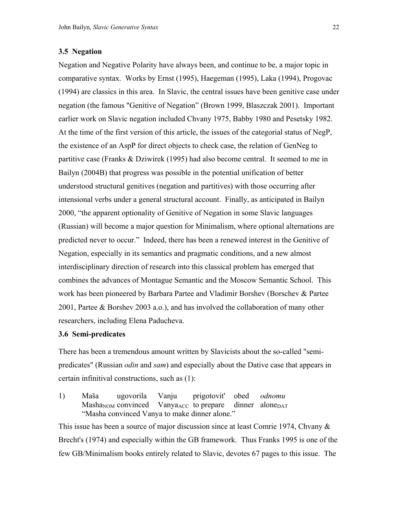# **3.5 Negation**

Negation and Negative Polarity have always been, and continue to be, a major topic in comparative syntax. Works by Ernst (1995), Haegeman (1995), Laka (1994), Progovac (1994) are classics in this area. In Slavic, the central issues have been genitive case under negation (the famous "Genitive of Negation" (Brown 1999, Blaszczak 2001). Important earlier work on Slavic negation included Chvany 1975, Babby 1980 and Pesetsky 1982. At the time of the first version of this article, the issues of the categorial status of NegP, the existence of an AspP for direct objects to check case, the relation of GenNeg to partitive case (Franks & Dziwirek (1995) had also become central. It seemed to me in Bailyn (2004B) that progress was possible in the potential unification of better understood structural genitives (negation and partitives) with those occurring after intensional verbs under a general structural account. Finally, as anticipated in Bailyn 2000, "the apparent optionality of Genitive of Negation in some Slavic languages (Russian) will become a major question for Minimalism, where optional alternations are predicted never to occur." Indeed, there has been a renewed interest in the Genitive of Negation, especially in its semantics and pragmatic conditions, and a new almost interdisciplinary direction of research into this classical problem has emerged that combines the advances of Montague Semantic and the Moscow Semantic School. This work has been pioneered by Barbara Partee and Vladimir Borshev (Borschev & Partee 2001, Partee & Borshev 2003 a.o.), and has involved the collaboration of many other researchers, including Elena Paducheva.

# **3.6 Semi-predicates**

There has been a tremendous amount written by Slavicists about the so-called "semipredicates" (Russian *odin* and *sam*) and especially about the Dative case that appears in certain infinitival constructions, such as (1):

1) Maša ugovorila Vanju prigotovit' obed *odnomu*  Masha<sub>NOM</sub> convinced Vanya<sub>ACC</sub> to prepare dinner alone<sub>DAT</sub> "Masha convinced Vanya to make dinner alone."

This issue has been a source of major discussion since at least Comrie 1974, Chvany & Brecht's (1974) and especially within the GB framework. Thus Franks 1995 is one of the few GB/Minimalism books entirely related to Slavic, devotes 67 pages to this issue. The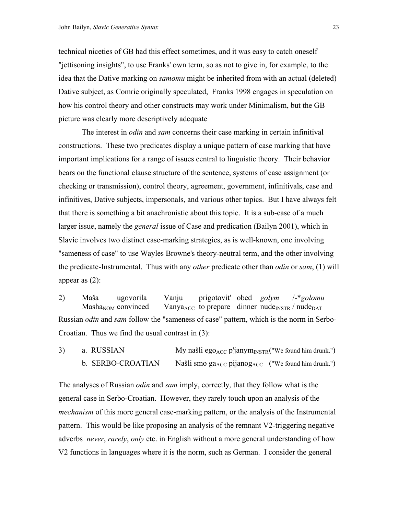technical niceties of GB had this effect sometimes, and it was easy to catch oneself "jettisoning insights", to use Franks' own term, so as not to give in, for example, to the idea that the Dative marking on *samomu* might be inherited from with an actual (deleted) Dative subject, as Comrie originally speculated, Franks 1998 engages in speculation on how his control theory and other constructs may work under Minimalism, but the GB picture was clearly more descriptively adequate

 The interest in *odin* and *sam* concerns their case marking in certain infinitival constructions. These two predicates display a unique pattern of case marking that have important implications for a range of issues central to linguistic theory. Their behavior bears on the functional clause structure of the sentence, systems of case assignment (or checking or transmission), control theory, agreement, government, infinitivals, case and infinitives, Dative subjects, impersonals, and various other topics. But I have always felt that there is something a bit anachronistic about this topic. It is a sub-case of a much larger issue, namely the *general* issue of Case and predication (Bailyn 2001), which in Slavic involves two distinct case-marking strategies, as is well-known, one involving "sameness of case" to use Wayles Browne's theory-neutral term, and the other involving the predicate-Instrumental. Thus with any *other* predicate other than *odin* or *sam*, (1) will appear as (2):

2) Maša ugovorila Vanju prigotovit' obed *golym* /-\**golomu* Masha<sub>NOM</sub> convinced Vanya<sub>ACC</sub> to prepare dinner nude<sub>INSTR</sub> / nude<sub>DAT</sub> Russian *odin* and *sam* follow the "sameness of case" pattern, which is the norm in Serbo-Croatian. Thus we find the usual contrast in (3):

3) a. RUSSIAN My našli ego<sub>ACC</sub> p'janym<sub>INSTR</sub> ("We found him drunk.") b. SERBO-CROATIAN Našli smo ga<sub>ACC</sub> pijanog<sub>ACC</sub> ("We found him drunk.")

The analyses of Russian *odin* and *sam* imply, correctly, that they follow what is the general case in Serbo-Croatian. However, they rarely touch upon an analysis of the *mechanism* of this more general case-marking pattern, or the analysis of the Instrumental pattern. This would be like proposing an analysis of the remnant V2-triggering negative adverbs *never*, *rarely*, *only* etc. in English without a more general understanding of how V2 functions in languages where it is the norm, such as German. I consider the general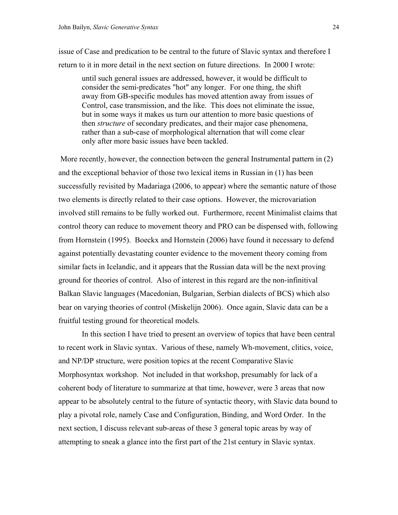issue of Case and predication to be central to the future of Slavic syntax and therefore I return to it in more detail in the next section on future directions. In 2000 I wrote:

until such general issues are addressed, however, it would be difficult to consider the semi-predicates "hot" any longer. For one thing, the shift away from GB-specific modules has moved attention away from issues of Control, case transmission, and the like. This does not eliminate the issue, but in some ways it makes us turn our attention to more basic questions of then *structure* of secondary predicates, and their major case phenomena, rather than a sub-case of morphological alternation that will come clear only after more basic issues have been tackled.

 More recently, however, the connection between the general Instrumental pattern in (2) and the exceptional behavior of those two lexical items in Russian in (1) has been successfully revisited by Madariaga (2006, to appear) where the semantic nature of those two elements is directly related to their case options. However, the microvariation involved still remains to be fully worked out. Furthermore, recent Minimalist claims that control theory can reduce to movement theory and PRO can be dispensed with, following from Hornstein (1995). Boeckx and Hornstein (2006) have found it necessary to defend against potentially devastating counter evidence to the movement theory coming from similar facts in Icelandic, and it appears that the Russian data will be the next proving ground for theories of control. Also of interest in this regard are the non-infinitival Balkan Slavic languages (Macedonian, Bulgarian, Serbian dialects of BCS) which also bear on varying theories of control (Miskelijn 2006). Once again, Slavic data can be a fruitful testing ground for theoretical models.

 In this section I have tried to present an overview of topics that have been central to recent work in Slavic syntax. Various of these, namely Wh-movement, clitics, voice, and NP/DP structure, were position topics at the recent Comparative Slavic Morphosyntax workshop. Not included in that workshop, presumably for lack of a coherent body of literature to summarize at that time, however, were 3 areas that now appear to be absolutely central to the future of syntactic theory, with Slavic data bound to play a pivotal role, namely Case and Configuration, Binding, and Word Order. In the next section, I discuss relevant sub-areas of these 3 general topic areas by way of attempting to sneak a glance into the first part of the 21st century in Slavic syntax.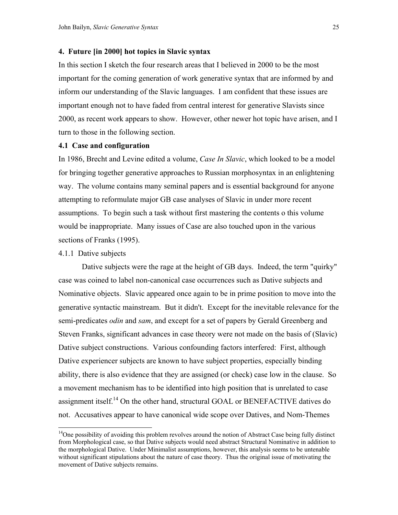# **4. Future [in 2000] hot topics in Slavic syntax**

In this section I sketch the four research areas that I believed in 2000 to be the most important for the coming generation of work generative syntax that are informed by and inform our understanding of the Slavic languages. I am confident that these issues are important enough not to have faded from central interest for generative Slavists since 2000, as recent work appears to show. However, other newer hot topic have arisen, and I turn to those in the following section.

#### **4.1 Case and configuration**

In 1986, Brecht and Levine edited a volume, *Case In Slavic*, which looked to be a model for bringing together generative approaches to Russian morphosyntax in an enlightening way. The volume contains many seminal papers and is essential background for anyone attempting to reformulate major GB case analyses of Slavic in under more recent assumptions. To begin such a task without first mastering the contents o this volume would be inappropriate. Many issues of Case are also touched upon in the various sections of Franks (1995).

# 4.1.1 Dative subjects

 $\overline{a}$ 

 Dative subjects were the rage at the height of GB days. Indeed, the term "quirky" case was coined to label non-canonical case occurrences such as Dative subjects and Nominative objects. Slavic appeared once again to be in prime position to move into the generative syntactic mainstream. But it didn't. Except for the inevitable relevance for the semi-predicates *odin* and *sam*, and except for a set of papers by Gerald Greenberg and Steven Franks, significant advances in case theory were not made on the basis of (Slavic) Dative subject constructions. Various confounding factors interfered: First, although Dative experiencer subjects are known to have subject properties, especially binding ability, there is also evidence that they are assigned (or check) case low in the clause. So a movement mechanism has to be identified into high position that is unrelated to case assignment itself.<sup>14</sup> On the other hand, structural GOAL or BENEFACTIVE datives do not. Accusatives appear to have canonical wide scope over Datives, and Nom-Themes

<span id="page-24-0"></span><sup>&</sup>lt;sup>14</sup>One possibility of avoiding this problem revolves around the notion of Abstract Case being fully distinct from Morphological case, so that Dative subjects would need abstract Structural Nominative in addition to the morphological Dative. Under Minimalist assumptions, however, this analysis seems to be untenable without significant stipulations about the nature of case theory. Thus the original issue of motivating the movement of Dative subjects remains.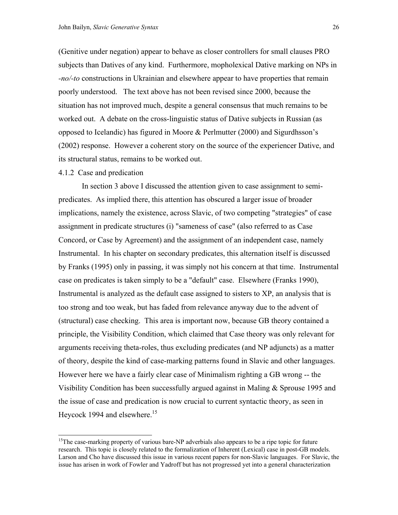(Genitive under negation) appear to behave as closer controllers for small clauses PRO subjects than Datives of any kind. Furthermore, mopholexical Dative marking on NPs in *-no/-to* constructions in Ukrainian and elsewhere appear to have properties that remain poorly understood. The text above has not been revised since 2000, because the situation has not improved much, despite a general consensus that much remains to be worked out. A debate on the cross-linguistic status of Dative subjects in Russian (as opposed to Icelandic) has figured in Moore & Perlmutter (2000) and Sigurdhsson's (2002) response. However a coherent story on the source of the experiencer Dative, and its structural status, remains to be worked out.

# 4.1.2 Case and predication

 $\overline{a}$ 

 In section 3 above I discussed the attention given to case assignment to semipredicates. As implied there, this attention has obscured a larger issue of broader implications, namely the existence, across Slavic, of two competing "strategies" of case assignment in predicate structures (i) "sameness of case" (also referred to as Case Concord, or Case by Agreement) and the assignment of an independent case, namely Instrumental. In his chapter on secondary predicates, this alternation itself is discussed by Franks (1995) only in passing, it was simply not his concern at that time. Instrumental case on predicates is taken simply to be a "default" case. Elsewhere (Franks 1990), Instrumental is analyzed as the default case assigned to sisters to XP, an analysis that is too strong and too weak, but has faded from relevance anyway due to the advent of (structural) case checking. This area is important now, because GB theory contained a principle, the Visibility Condition, which claimed that Case theory was only relevant for arguments receiving theta-roles, thus excluding predicates (and NP adjuncts) as a matter of theory, despite the kind of case-marking patterns found in Slavic and other languages. However here we have a fairly clear case of Minimalism righting a GB wrong -- the Visibility Condition has been successfully argued against in Maling & Sprouse 1995 and the issue of case and predication is now crucial to current syntactic theory, as seen in Heycock 1994 and elsewhere.<sup>15</sup>

<span id="page-25-0"></span><sup>&</sup>lt;sup>15</sup>The case-marking property of various bare-NP adverbials also appears to be a ripe topic for future research. This topic is closely related to the formalization of Inherent (Lexical) case in post-GB models. Larson and Cho have discussed this issue in various recent papers for non-Slavic languages. For Slavic, the issue has arisen in work of Fowler and Yadroff but has not progressed yet into a general characterization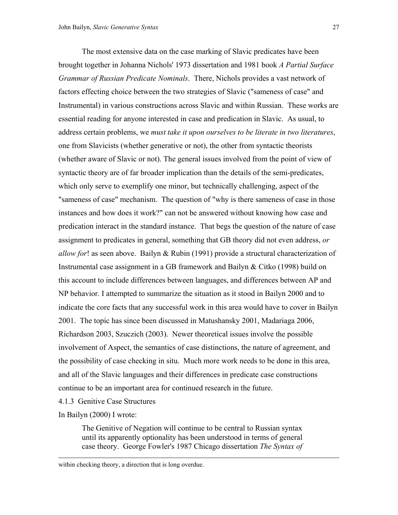The most extensive data on the case marking of Slavic predicates have been brought together in Johanna Nichols' 1973 dissertation and 1981 book *A Partial Surface Grammar of Russian Predicate Nominals*. There, Nichols provides a vast network of factors effecting choice between the two strategies of Slavic ("sameness of case" and Instrumental) in various constructions across Slavic and within Russian. These works are essential reading for anyone interested in case and predication in Slavic. As usual, to address certain problems, we *must take it upon ourselves to be literate in two literatures*, one from Slavicists (whether generative or not), the other from syntactic theorists (whether aware of Slavic or not). The general issues involved from the point of view of syntactic theory are of far broader implication than the details of the semi-predicates, which only serve to exemplify one minor, but technically challenging, aspect of the "sameness of case" mechanism. The question of "why is there sameness of case in those instances and how does it work?" can not be answered without knowing how case and predication interact in the standard instance. That begs the question of the nature of case assignment to predicates in general, something that GB theory did not even address, *or allow for*! as seen above. Bailyn & Rubin (1991) provide a structural characterization of Instrumental case assignment in a GB framework and Bailyn & Citko (1998) build on this account to include differences between languages, and differences between AP and NP behavior. I attempted to summarize the situation as it stood in Bailyn 2000 and to indicate the core facts that any successful work in this area would have to cover in Bailyn 2001. The topic has since been discussed in Matushansky 2001, Madariaga 2006, Richardson 2003, Szuczich (2003). Newer theoretical issues involve the possible involvement of Aspect, the semantics of case distinctions, the nature of agreement, and the possibility of case checking in situ. Much more work needs to be done in this area, and all of the Slavic languages and their differences in predicate case constructions continue to be an important area for continued research in the future.

4.1.3 Genitive Case Structures

In Bailyn (2000) I wrote:

 $\overline{a}$ 

The Genitive of Negation will continue to be central to Russian syntax until its apparently optionality has been understood in terms of general case theory. George Fowler's 1987 Chicago dissertation *The Syntax of* 

within checking theory, a direction that is long overdue.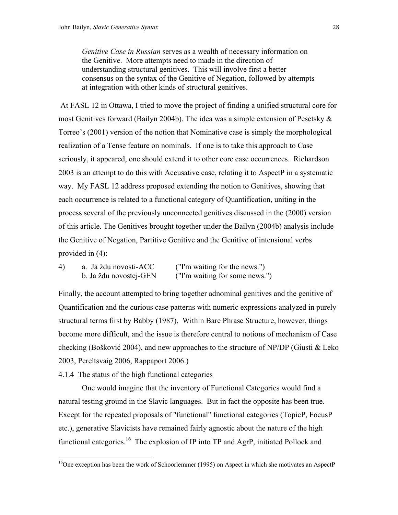*Genitive Case in Russian* serves as a wealth of necessary information on the Genitive. More attempts need to made in the direction of understanding structural genitives. This will involve first a better consensus on the syntax of the Genitive of Negation, followed by attempts at integration with other kinds of structural genitives.

 At FASL 12 in Ottawa, I tried to move the project of finding a unified structural core for most Genitives forward (Bailyn 2004b). The idea was a simple extension of Pesetsky  $\&$ Torreo's (2001) version of the notion that Nominative case is simply the morphological realization of a Tense feature on nominals. If one is to take this approach to Case seriously, it appeared, one should extend it to other core case occurrences. Richardson 2003 is an attempt to do this with Accusative case, relating it to AspectP in a systematic way. My FASL 12 address proposed extending the notion to Genitives, showing that each occurrence is related to a functional category of Quantification, uniting in the process several of the previously unconnected genitives discussed in the (2000) version of this article. The Genitives brought together under the Bailyn (2004b) analysis include the Genitive of Negation, Partitive Genitive and the Genitive of intensional verbs provided in (4):

| 4) | a. Ja ždu novosti-ACC  | ("I'm waiting for the news.")  |
|----|------------------------|--------------------------------|
|    | b. Ja ždu novostej-GEN | ("I'm waiting for some news.") |

Finally, the account attempted to bring together adnominal genitives and the genitive of Quantification and the curious case patterns with numeric expressions analyzed in purely structural terms first by Babby (1987), Within Bare Phrase Structure, however, things become more difficult, and the issue is therefore central to notions of mechanism of Case checking (Bošković 2004), and new approaches to the structure of NP/DP (Giusti & Leko 2003, Pereltsvaig 2006, Rappaport 2006.)

4.1.4 The status of the high functional categories

 $\overline{a}$ 

 One would imagine that the inventory of Functional Categories would find a natural testing ground in the Slavic languages. But in fact the opposite has been true. Except for the repeated proposals of "functional" functional categories (TopicP, FocusP etc.), generative Slavicists have remained fairly agnostic about the nature of the high functional categories.<sup>16</sup> The explosion of IP into TP and AgrP, initiated Pollock and

<span id="page-27-0"></span> $16$ One exception has been the work of Schoorlemmer (1995) on Aspect in which she motivates an AspectP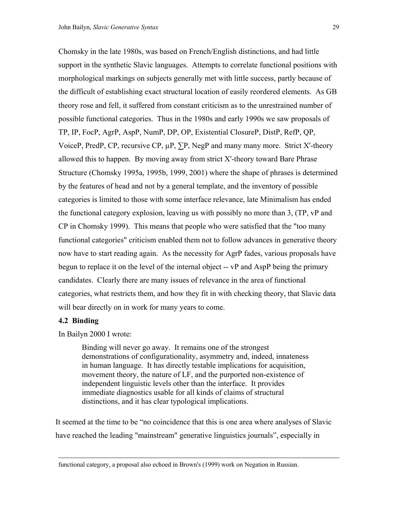Chomsky in the late 1980s, was based on French/English distinctions, and had little support in the synthetic Slavic languages. Attempts to correlate functional positions with morphological markings on subjects generally met with little success, partly because of the difficult of establishing exact structural location of easily reordered elements. As GB theory rose and fell, it suffered from constant criticism as to the unrestrained number of possible functional categories. Thus in the 1980s and early 1990s we saw proposals of TP, IP, FocP, AgrP, AspP, NumP, DP, OP, Existential ClosureP, DistP, RefP, QP, VoiceP, PredP, CP, recursive CP,  $\mu$ P,  $\Sigma$ P, NegP and many many more. Strict X'-theory allowed this to happen. By moving away from strict X'-theory toward Bare Phrase Structure (Chomsky 1995a, 1995b, 1999, 2001) where the shape of phrases is determined by the features of head and not by a general template, and the inventory of possible categories is limited to those with some interface relevance, late Minimalism has ended the functional category explosion, leaving us with possibly no more than 3, (TP, vP and CP in Chomsky 1999). This means that people who were satisfied that the "too many functional categories" criticism enabled them not to follow advances in generative theory now have to start reading again. As the necessity for AgrP fades, various proposals have begun to replace it on the level of the internal object -- vP and AspP being the primary candidates. Clearly there are many issues of relevance in the area of functional categories, what restricts them, and how they fit in with checking theory, that Slavic data will bear directly on in work for many years to come.

# **4.2 Binding**

 $\overline{a}$ 

In Bailyn 2000 I wrote:

Binding will never go away. It remains one of the strongest demonstrations of configurationality, asymmetry and, indeed, innateness in human language. It has directly testable implications for acquisition, movement theory, the nature of LF, and the purported non-existence of independent linguistic levels other than the interface. It provides immediate diagnostics usable for all kinds of claims of structural distinctions, and it has clear typological implications.

It seemed at the time to be "no coincidence that this is one area where analyses of Slavic have reached the leading "mainstream" generative linguistics journals", especially in

functional category, a proposal also echoed in Brown's (1999) work on Negation in Russian.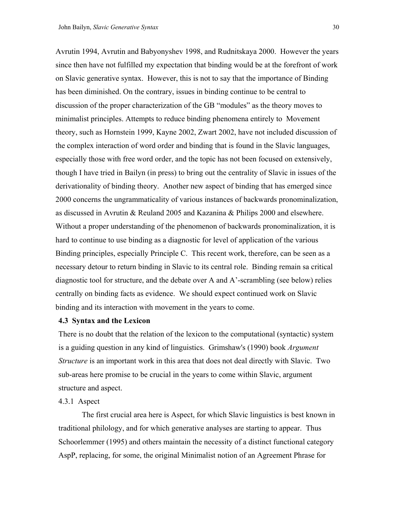Avrutin 1994, Avrutin and Babyonyshev 1998, and Rudnitskaya 2000. However the years since then have not fulfilled my expectation that binding would be at the forefront of work on Slavic generative syntax. However, this is not to say that the importance of Binding has been diminished. On the contrary, issues in binding continue to be central to discussion of the proper characterization of the GB "modules" as the theory moves to minimalist principles. Attempts to reduce binding phenomena entirely to Movement theory, such as Hornstein 1999, Kayne 2002, Zwart 2002, have not included discussion of the complex interaction of word order and binding that is found in the Slavic languages, especially those with free word order, and the topic has not been focused on extensively, though I have tried in Bailyn (in press) to bring out the centrality of Slavic in issues of the derivationality of binding theory. Another new aspect of binding that has emerged since 2000 concerns the ungrammaticality of various instances of backwards pronominalization, as discussed in Avrutin & Reuland 2005 and Kazanina & Philips 2000 and elsewhere. Without a proper understanding of the phenomenon of backwards pronominalization, it is hard to continue to use binding as a diagnostic for level of application of the various Binding principles, especially Principle C. This recent work, therefore, can be seen as a necessary detour to return binding in Slavic to its central role. Binding remain sa critical diagnostic tool for structure, and the debate over A and A'-scrambling (see below) relies centrally on binding facts as evidence. We should expect continued work on Slavic binding and its interaction with movement in the years to come.

### **4.3 Syntax and the Lexicon**

There is no doubt that the relation of the lexicon to the computational (syntactic) system is a guiding question in any kind of linguistics. Grimshaw's (1990) book *Argument Structure* is an important work in this area that does not deal directly with Slavic. Two sub-areas here promise to be crucial in the years to come within Slavic, argument structure and aspect.

# 4.3.1 Aspect

 The first crucial area here is Aspect, for which Slavic linguistics is best known in traditional philology, and for which generative analyses are starting to appear. Thus Schoorlemmer (1995) and others maintain the necessity of a distinct functional category AspP, replacing, for some, the original Minimalist notion of an Agreement Phrase for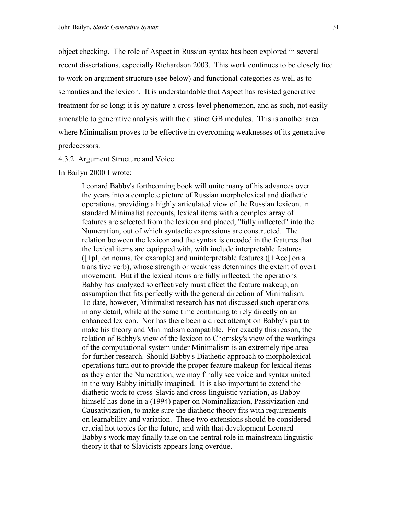object checking. The role of Aspect in Russian syntax has been explored in several recent dissertations, especially Richardson 2003. This work continues to be closely tied to work on argument structure (see below) and functional categories as well as to semantics and the lexicon. It is understandable that Aspect has resisted generative treatment for so long; it is by nature a cross-level phenomenon, and as such, not easily amenable to generative analysis with the distinct GB modules. This is another area where Minimalism proves to be effective in overcoming weaknesses of its generative predecessors.

### 4.3.2 Argument Structure and Voice

In Bailyn 2000 I wrote:

Leonard Babby's forthcoming book will unite many of his advances over the years into a complete picture of Russian morpholexical and diathetic operations, providing a highly articulated view of the Russian lexicon. n standard Minimalist accounts, lexical items with a complex array of features are selected from the lexicon and placed, "fully inflected" into the Numeration, out of which syntactic expressions are constructed. The relation between the lexicon and the syntax is encoded in the features that the lexical items are equipped with, with include interpretable features  $([-p1]$  on nouns, for example) and uninterpretable features  $([-Acc]$  on a transitive verb), whose strength or weakness determines the extent of overt movement. But if the lexical items are fully inflected, the operations Babby has analyzed so effectively must affect the feature makeup, an assumption that fits perfectly with the general direction of Minimalism. To date, however, Minimalist research has not discussed such operations in any detail, while at the same time continuing to rely directly on an enhanced lexicon. Nor has there been a direct attempt on Babby's part to make his theory and Minimalism compatible. For exactly this reason, the relation of Babby's view of the lexicon to Chomsky's view of the workings of the computational system under Minimalism is an extremely ripe area for further research. Should Babby's Diathetic approach to morpholexical operations turn out to provide the proper feature makeup for lexical items as they enter the Numeration, we may finally see voice and syntax united in the way Babby initially imagined. It is also important to extend the diathetic work to cross-Slavic and cross-linguistic variation, as Babby himself has done in a (1994) paper on Nominalization, Passivization and Causativization, to make sure the diathetic theory fits with requirements on learnability and variation. These two extensions should be considered crucial hot topics for the future, and with that development Leonard Babby's work may finally take on the central role in mainstream linguistic theory it that to Slavicists appears long overdue.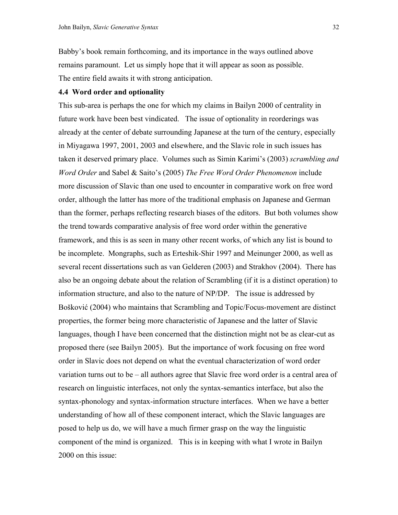Babby's book remain forthcoming, and its importance in the ways outlined above remains paramount. Let us simply hope that it will appear as soon as possible. The entire field awaits it with strong anticipation.

### **4.4 Word order and optionality**

This sub-area is perhaps the one for which my claims in Bailyn 2000 of centrality in future work have been best vindicated. The issue of optionality in reorderings was already at the center of debate surrounding Japanese at the turn of the century, especially in Miyagawa 1997, 2001, 2003 and elsewhere, and the Slavic role in such issues has taken it deserved primary place. Volumes such as Simin Karimi's (2003) *scrambling and Word Order* and Sabel & Saito's (2005) *The Free Word Order Phenomenon* include more discussion of Slavic than one used to encounter in comparative work on free word order, although the latter has more of the traditional emphasis on Japanese and German than the former, perhaps reflecting research biases of the editors. But both volumes show the trend towards comparative analysis of free word order within the generative framework, and this is as seen in many other recent works, of which any list is bound to be incomplete. Mongraphs, such as Erteshik-Shir 1997 and Meinunger 2000, as well as several recent dissertations such as van Gelderen (2003) and Strakhov (2004). There has also be an ongoing debate about the relation of Scrambling (if it is a distinct operation) to information structure, and also to the nature of NP/DP. The issue is addressed by Bošković (2004) who maintains that Scrambling and Topic/Focus-movement are distinct properties, the former being more characteristic of Japanese and the latter of Slavic languages, though I have been concerned that the distinction might not be as clear-cut as proposed there (see Bailyn 2005). But the importance of work focusing on free word order in Slavic does not depend on what the eventual characterization of word order variation turns out to be – all authors agree that Slavic free word order is a central area of research on linguistic interfaces, not only the syntax-semantics interface, but also the syntax-phonology and syntax-information structure interfaces. When we have a better understanding of how all of these component interact, which the Slavic languages are posed to help us do, we will have a much firmer grasp on the way the linguistic component of the mind is organized. This is in keeping with what I wrote in Bailyn 2000 on this issue: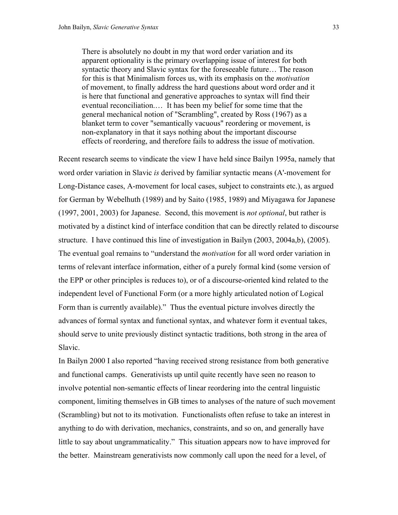There is absolutely no doubt in my that word order variation and its apparent optionality is the primary overlapping issue of interest for both syntactic theory and Slavic syntax for the foreseeable future… The reason for this is that Minimalism forces us, with its emphasis on the *motivation* of movement, to finally address the hard questions about word order and it is here that functional and generative approaches to syntax will find their eventual reconciliation.… It has been my belief for some time that the general mechanical notion of "Scrambling", created by Ross (1967) as a blanket term to cover "semantically vacuous" reordering or movement, is non-explanatory in that it says nothing about the important discourse effects of reordering, and therefore fails to address the issue of motivation.

Recent research seems to vindicate the view I have held since Bailyn 1995a, namely that word order variation in Slavic *is* derived by familiar syntactic means (A'-movement for Long-Distance cases, A-movement for local cases, subject to constraints etc.), as argued for German by Webelhuth (1989) and by Saito (1985, 1989) and Miyagawa for Japanese (1997, 2001, 2003) for Japanese. Second, this movement is *not optional*, but rather is motivated by a distinct kind of interface condition that can be directly related to discourse structure. I have continued this line of investigation in Bailyn (2003, 2004a,b), (2005). The eventual goal remains to "understand the *motivation* for all word order variation in terms of relevant interface information, either of a purely formal kind (some version of the EPP or other principles is reduces to), or of a discourse-oriented kind related to the independent level of Functional Form (or a more highly articulated notion of Logical Form than is currently available)." Thus the eventual picture involves directly the advances of formal syntax and functional syntax, and whatever form it eventual takes, should serve to unite previously distinct syntactic traditions, both strong in the area of Slavic.

In Bailyn 2000 I also reported "having received strong resistance from both generative and functional camps. Generativists up until quite recently have seen no reason to involve potential non-semantic effects of linear reordering into the central linguistic component, limiting themselves in GB times to analyses of the nature of such movement (Scrambling) but not to its motivation. Functionalists often refuse to take an interest in anything to do with derivation, mechanics, constraints, and so on, and generally have little to say about ungrammaticality." This situation appears now to have improved for the better. Mainstream generativists now commonly call upon the need for a level, of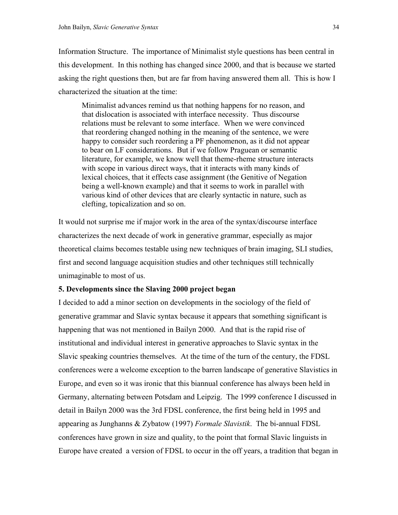Information Structure. The importance of Minimalist style questions has been central in this development. In this nothing has changed since 2000, and that is because we started asking the right questions then, but are far from having answered them all. This is how I characterized the situation at the time:

Minimalist advances remind us that nothing happens for no reason, and that dislocation is associated with interface necessity. Thus discourse relations must be relevant to some interface. When we were convinced that reordering changed nothing in the meaning of the sentence, we were happy to consider such reordering a PF phenomenon, as it did not appear to bear on LF considerations. But if we follow Praguean or semantic literature, for example, we know well that theme-rheme structure interacts with scope in various direct ways, that it interacts with many kinds of lexical choices, that it effects case assignment (the Genitive of Negation being a well-known example) and that it seems to work in parallel with various kind of other devices that are clearly syntactic in nature, such as clefting, topicalization and so on.

It would not surprise me if major work in the area of the syntax/discourse interface characterizes the next decade of work in generative grammar, especially as major theoretical claims becomes testable using new techniques of brain imaging, SLI studies, first and second language acquisition studies and other techniques still technically unimaginable to most of us.

# **5. Developments since the Slaving 2000 project began**

I decided to add a minor section on developments in the sociology of the field of generative grammar and Slavic syntax because it appears that something significant is happening that was not mentioned in Bailyn 2000. And that is the rapid rise of institutional and individual interest in generative approaches to Slavic syntax in the Slavic speaking countries themselves. At the time of the turn of the century, the FDSL conferences were a welcome exception to the barren landscape of generative Slavistics in Europe, and even so it was ironic that this biannual conference has always been held in Germany, alternating between Potsdam and Leipzig. The 1999 conference I discussed in detail in Bailyn 2000 was the 3rd FDSL conference, the first being held in 1995 and appearing as Junghanns & Zybatow (1997) *Formale Slavistik*. The bi-annual FDSL conferences have grown in size and quality, to the point that formal Slavic linguists in Europe have created a version of FDSL to occur in the off years, a tradition that began in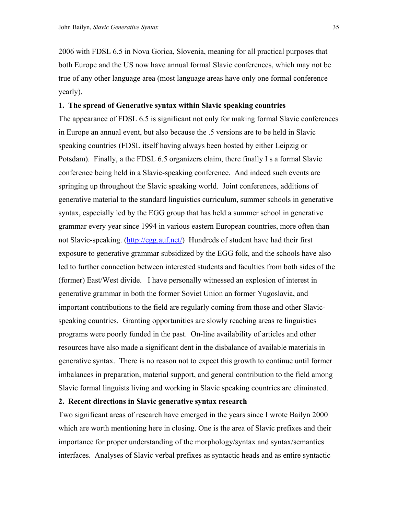2006 with FDSL 6.5 in Nova Gorica, Slovenia, meaning for all practical purposes that both Europe and the US now have annual formal Slavic conferences, which may not be true of any other language area (most language areas have only one formal conference yearly).

### **1. The spread of Generative syntax within Slavic speaking countries**

The appearance of FDSL 6.5 is significant not only for making formal Slavic conferences in Europe an annual event, but also because the .5 versions are to be held in Slavic speaking countries (FDSL itself having always been hosted by either Leipzig or Potsdam). Finally, a the FDSL 6.5 organizers claim, there finally I s a formal Slavic conference being held in a Slavic-speaking conference. And indeed such events are springing up throughout the Slavic speaking world. Joint conferences, additions of generative material to the standard linguistics curriculum, summer schools in generative syntax, especially led by the EGG group that has held a summer school in generative grammar every year since 1994 in various eastern European countries, more often than not Slavic-speaking. [\(http://egg.auf.net/](http://egg.auf.net/)) Hundreds of student have had their first exposure to generative grammar subsidized by the EGG folk, and the schools have also led to further connection between interested students and faculties from both sides of the (former) East/West divide. I have personally witnessed an explosion of interest in generative grammar in both the former Soviet Union an former Yugoslavia, and important contributions to the field are regularly coming from those and other Slavicspeaking countries. Granting opportunities are slowly reaching areas re linguistics programs were poorly funded in the past. On-line availability of articles and other resources have also made a significant dent in the disbalance of available materials in generative syntax. There is no reason not to expect this growth to continue until former imbalances in preparation, material support, and general contribution to the field among Slavic formal linguists living and working in Slavic speaking countries are eliminated.

# **2. Recent directions in Slavic generative syntax research**

Two significant areas of research have emerged in the years since I wrote Bailyn 2000 which are worth mentioning here in closing. One is the area of Slavic prefixes and their importance for proper understanding of the morphology/syntax and syntax/semantics interfaces. Analyses of Slavic verbal prefixes as syntactic heads and as entire syntactic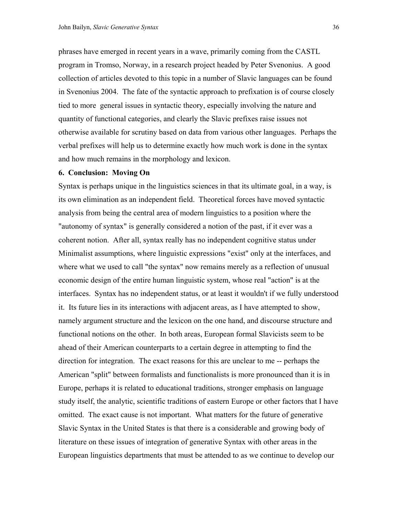phrases have emerged in recent years in a wave, primarily coming from the CASTL program in Tromso, Norway, in a research project headed by Peter Svenonius. A good collection of articles devoted to this topic in a number of Slavic languages can be found in Svenonius 2004. The fate of the syntactic approach to prefixation is of course closely tied to more general issues in syntactic theory, especially involving the nature and quantity of functional categories, and clearly the Slavic prefixes raise issues not otherwise available for scrutiny based on data from various other languages. Perhaps the verbal prefixes will help us to determine exactly how much work is done in the syntax and how much remains in the morphology and lexicon.

### **6. Conclusion: Moving On**

Syntax is perhaps unique in the linguistics sciences in that its ultimate goal, in a way, is its own elimination as an independent field. Theoretical forces have moved syntactic analysis from being the central area of modern linguistics to a position where the "autonomy of syntax" is generally considered a notion of the past, if it ever was a coherent notion. After all, syntax really has no independent cognitive status under Minimalist assumptions, where linguistic expressions "exist" only at the interfaces, and where what we used to call "the syntax" now remains merely as a reflection of unusual economic design of the entire human linguistic system, whose real "action" is at the interfaces. Syntax has no independent status, or at least it wouldn't if we fully understood it. Its future lies in its interactions with adjacent areas, as I have attempted to show, namely argument structure and the lexicon on the one hand, and discourse structure and functional notions on the other. In both areas, European formal Slavicists seem to be ahead of their American counterparts to a certain degree in attempting to find the direction for integration. The exact reasons for this are unclear to me -- perhaps the American "split" between formalists and functionalists is more pronounced than it is in Europe, perhaps it is related to educational traditions, stronger emphasis on language study itself, the analytic, scientific traditions of eastern Europe or other factors that I have omitted. The exact cause is not important. What matters for the future of generative Slavic Syntax in the United States is that there is a considerable and growing body of literature on these issues of integration of generative Syntax with other areas in the European linguistics departments that must be attended to as we continue to develop our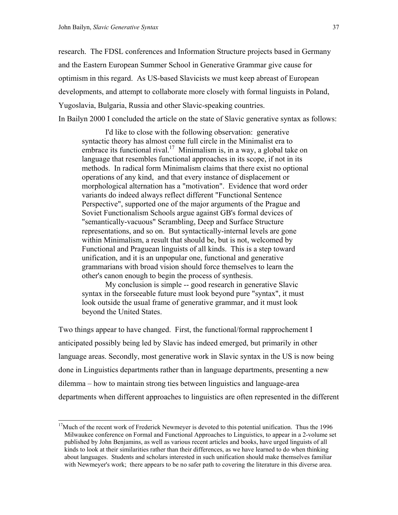l

research. The FDSL conferences and Information Structure projects based in Germany and the Eastern European Summer School in Generative Grammar give cause for optimism in this regard. As US-based Slavicists we must keep abreast of European developments, and attempt to collaborate more closely with formal linguists in Poland, Yugoslavia, Bulgaria, Russia and other Slavic-speaking countries. In Bailyn 2000 I concluded the article on the state of Slavic generative syntax as follows:

 I'd like to close with the following observation: generative syntactic theory has almost come full circle in the Minimalist era to embrace its functional rival.<sup>17</sup> Minimalism is, in a way, a global take on language that resembles functional approaches in its scope, if not in its methods. In radical form Minimalism claims that there exist no optional operations of any kind, and that every instance of displacement or morphological alternation has a "motivation". Evidence that word order variants do indeed always reflect different "Functional Sentence Perspective", supported one of the major arguments of the Prague and Soviet Functionalism Schools argue against GB's formal devices of "semantically-vacuous" Scrambling, Deep and Surface Structure representations, and so on. But syntactically-internal levels are gone within Minimalism, a result that should be, but is not, welcomed by Functional and Praguean linguists of all kinds. This is a step toward unification, and it is an unpopular one, functional and generative grammarians with broad vision should force themselves to learn the other's canon enough to begin the process of synthesis.

My conclusion is simple -- good research in generative Slavic syntax in the forseeable future must look beyond pure "syntax", it must look outside the usual frame of generative grammar, and it must look beyond the United States.

Two things appear to have changed. First, the functional/formal rapprochement I anticipated possibly being led by Slavic has indeed emerged, but primarily in other language areas. Secondly, most generative work in Slavic syntax in the US is now being done in Linguistics departments rather than in language departments, presenting a new dilemma – how to maintain strong ties between linguistics and language-area departments when different approaches to linguistics are often represented in the different

<span id="page-36-0"></span> $17$ Much of the recent work of Frederick Newmeyer is devoted to this potential unification. Thus the 1996 Milwaukee conference on Formal and Functional Approaches to Linguistics, to appear in a 2-volume set published by John Benjamins, as well as various recent articles and books, have urged linguists of all kinds to look at their similarities rather than their differences, as we have learned to do when thinking about languages. Students and scholars interested in such unification should make themselves familiar with Newmeyer's work; there appears to be no safer path to covering the literature in this diverse area.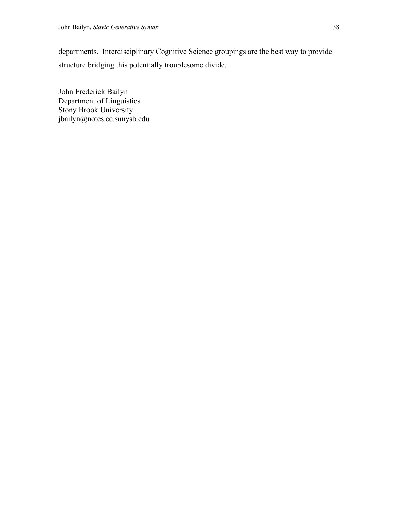departments. Interdisciplinary Cognitive Science groupings are the best way to provide structure bridging this potentially troublesome divide.

John Frederick Bailyn Department of Linguistics Stony Brook University jbailyn@notes.cc.sunysb.edu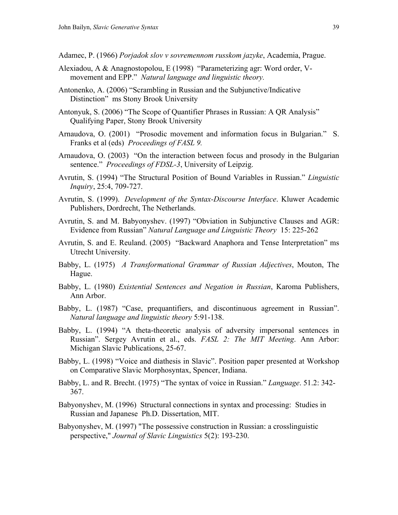Adamec, P. (1966) *Porjadok slov v sovremennom russkom jazyke*, Academia, Prague.

- Alexiadou, A & Anagnostopolou, E (1998) "Parameterizing agr: Word order, Vmovement and EPP." *Natural language and linguistic theory.*
- Antonenko, A. (2006) "Scrambling in Russian and the Subjunctive/Indicative Distinction" ms Stony Brook University
- Antonyuk, S. (2006) "The Scope of Quantifier Phrases in Russian: A QR Analysis" Qualifying Paper, Stony Brook University
- Arnaudova, O. (2001) "Prosodic movement and information focus in Bulgarian." S. Franks et al (eds) *Proceedings of FASL 9.*
- Arnaudova, O. (2003) "On the interaction between focus and prosody in the Bulgarian sentence." *Proceedings of FDSL-3*, University of Leipzig.
- Avrutin, S. (1994) "The Structural Position of Bound Variables in Russian." *Linguistic Inquiry*, 25:4, 709-727.
- Avrutin, S. (1999). *Development of the Syntax-Discourse Interface*. Kluwer Academic Publishers, Dordrecht, The Netherlands.
- Avrutin, S. and M. Babyonyshev. (1997) "Obviation in Subjunctive Clauses and AGR: Evidence from Russian" *Natural Language and Linguistic Theory* 15: 225-262
- Avrutin, S. and E. Reuland. (2005) "Backward Anaphora and Tense Interpretation" ms Utrecht University.
- Babby, L. (1975) *A Transformational Grammar of Russian Adjectives*, Mouton, The Hague.
- Babby, L. (1980) *Existential Sentences and Negation in Russian*, Karoma Publishers, Ann Arbor.
- Babby, L. (1987) "Case, prequantifiers, and discontinuous agreement in Russian". *Natural language and linguistic theory* 5:91-138.
- Babby, L. (1994) "A theta-theoretic analysis of adversity impersonal sentences in Russian". Sergey Avrutin et al., eds. *FASL 2: The MIT Meeting*. Ann Arbor: Michigan Slavic Publications, 25-67.
- Babby, L. (1998) "Voice and diathesis in Slavic". Position paper presented at Workshop on Comparative Slavic Morphosyntax, Spencer, Indiana.
- Babby, L. and R. Brecht. (1975) "The syntax of voice in Russian." *Language*. 51.2: 342- 367.
- Babyonyshev, M. (1996) Structural connections in syntax and processing: Studies in Russian and Japanese Ph.D. Dissertation, MIT.
- Babyonyshev, M. (1997) "The possessive construction in Russian: a crosslinguistic perspective," *Journal of Slavic Linguistics* 5(2): 193-230.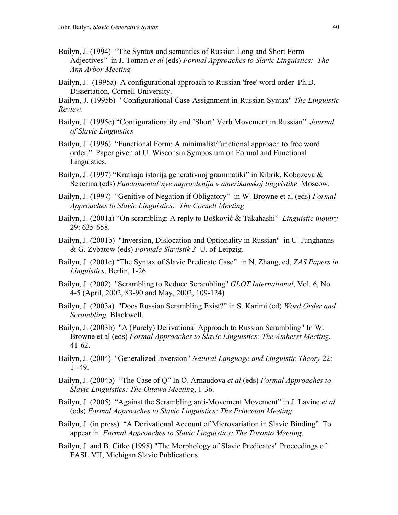- Bailyn, J. (1994) "The Syntax and semantics of Russian Long and Short Form Adjectives" in J. Toman *et al* (eds) *Formal Approaches to Slavic Linguistics: The Ann Arbor Meeting*
- Bailyn, J. (1995a) A configurational approach to Russian 'free' word order Ph.D. Dissertation, Cornell University.

Bailyn, J. (1995b) "Configurational Case Assignment in Russian Syntax" *The Linguistic Review*.

- Bailyn, J. (1995c) "Configurationality and 'Short' Verb Movement in Russian" *Journal of Slavic Linguistics*
- Bailyn, J. (1996) "Functional Form: A minimalist/functional approach to free word order." Paper given at U. Wisconsin Symposium on Formal and Functional Linguistics.
- Bailyn, J. (1997) "Kratkaja istorija generativnoj grammatiki" in Kibrik, Kobozeva & Sekerina (eds) *Fundamental'nye napravlenija v amerikanskoj lingvistike* Moscow.
- Bailyn, J. (1997) "Genitive of Negation if Obligatory" in W. Browne et al (eds) *Formal Approaches to Slavic Linguistics: The Cornell Meeting*
- Bailyn, J. (2001a) "On scrambling: A reply to Bošković & Takahashi" *Linguistic inquiry* 29: 635-658.
- Bailyn, J. (2001b) "Inversion, Dislocation and Optionality in Russian" in U. Junghanns & G. Zybatow (eds) *Formale Slavistik 3* U. of Leipzig.
- Bailyn, J. (2001c) "The Syntax of Slavic Predicate Case" in N. Zhang, ed, *ZAS Papers in Linguistics*, Berlin, 1-26.
- Bailyn, J. (2002) "Scrambling to Reduce Scrambling" *GLOT International*, Vol. 6, No. 4-5 (April, 2002, 83-90 and May, 2002, 109-124)
- Bailyn, J. (2003a) "Does Russian Scrambling Exist?" in S. Karimi (ed) *Word Order and Scrambling* Blackwell.
- Bailyn, J. (2003b) "A (Purely) Derivational Approach to Russian Scrambling" In W. Browne et al (eds) *Formal Approaches to Slavic Linguistics: The Amherst Meeting*, 41-62.
- Bailyn, J. (2004) "Generalized Inversion" *Natural Language and Linguistic Theory* 22: 1--49.
- Bailyn, J. (2004b) "The Case of Q" In O. Arnaudova *et al* (eds) *Formal Approaches to Slavic Linguistics: The Ottawa Meeting*, 1-36.
- Bailyn, J. (2005) "Against the Scrambling anti-Movement Movement" in J. Lavine *et al*  (eds) *Formal Approaches to Slavic Linguistics: The Princeton Meeting*.
- Bailyn, J. (in press) "A Derivational Account of Microvariation in Slavic Binding" To appear in *Formal Approaches to Slavic Linguistics: The Toronto Meeting*.
- Bailyn, J. and B. Citko (1998) "The Morphology of Slavic Predicates" Proceedings of FASL VII, Michigan Slavic Publications.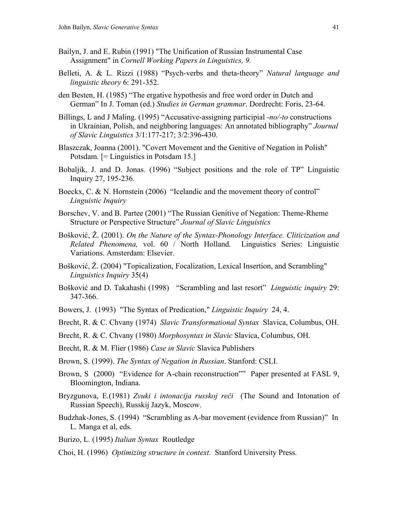- Bailyn, J. and E. Rubin (1991) "The Unification of Russian Instrumental Case Assignment" in *Cornell Working Papers in Linguistics, 9.*
- Belleti, A. & L. Rizzi (1988) "Psych-verbs and theta-theory" *Natural language and linguistic theory* 6: 291-352.
- den Besten, H. (1985) "The ergative hypothesis and free word order in Dutch and German" In J. Toman (ed.) *Studies in German grammar*. Dordrecht: Foris, 23-64.
- Billings, L and J Maling. (1995) "Accusative-assigning participial *-no/-to* constructions in Ukrainian, Polish, and neighboring languages: An annotated bibliography" *Journal of Slavic Linguistics* 3/1:177-217; 3/2:396-430.
- Blaszczak, Joanna (2001). "Covert Movement and the Genitive of Negation in Polish" Potsdam. [= Linguistics in Potsdam 15.]
- Bobaljik, J. and D. Jonas. (1996) "Subject positions and the role of TP" Linguistic Inquiry 27, 195-236.
- Boeckx, C. & N. Hornstein (2006) "Icelandic and the movement theory of control" *Linguistic Inquiry*
- Borschev, V. and B. Partee (2001) "The Russian Genitive of Negation: Theme-Rheme Structure or Perspective Structure" *Journal of Slavic Linguistics*
- Bošković, Ž. (2001). *On the Nature of the Syntax-Phonology Interface. Cliticization and Related Phenomena,* vol. 60 / North Holland. Linguistics Series: Linguistic Variations. Amsterdam: Elsevier.
- Bošković, Ž. (2004) "Topicalization, Focalization, Lexical Insertion, and Scrambling" *Linguistics Inquiry* 35(4)
- Bošković and D. Takahashi (1998) "Scrambling and last resort" *Linguistic inquiry* 29: 347-366.
- Bowers, J. (1993) "The Syntax of Predication," *Linguistic Inquiry* 24, 4.
- Brecht, R. & C. Chvany (1974) *Slavic Transformational Syntax* Slavica, Columbus, OH.
- Brecht, R. & C. Chvany (1980) *Morphosyntax in Slavic* Slavica, Columbus, OH.
- Brecht, R. & M. Flier (1986) *Case in Slavic* Slavica Publishers
- Brown, S. (1999). *The Syntax of Negation in Russian*. Stanford: CSLI.
- Brown, S (2000) "Evidence for A-chain reconstruction"" Paper presented at FASL 9, Bloomington, Indiana.
- Bryzgunova, E.(1981) *Zvuki i intonacija russkoj reči* (The Sound and Intonation of Russian Speech), Russkij Jazyk, Moscow.
- Budzhak-Jones, S. (1994) "Scrambling as A-bar movement (evidence from Russian)" In L. Manga et al, eds.
- Burizo, L. (1995) *Italian Syntax* Routledge
- Choi, H. (1996) *Optimizing structure in context*. Stanford University Press.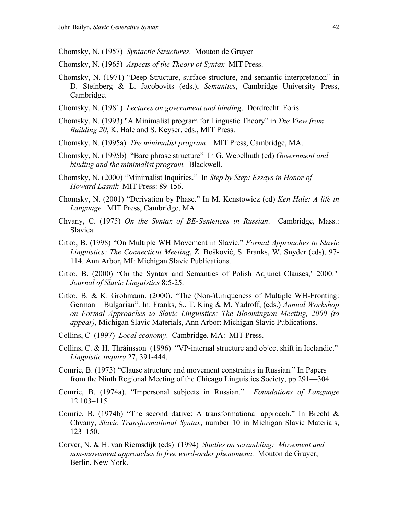- Chomsky, N. (1957) *Syntactic Structures*. Mouton de Gruyer
- Chomsky, N. (1965) *Aspects of the Theory of Syntax* MIT Press.
- Chomsky, N. (1971) "Deep Structure, surface structure, and semantic interpretation" in D. Steinberg & L. Jacobovits (eds.), *Semantics*, Cambridge University Press, Cambridge.
- Chomsky, N. (1981) *Lectures on government and binding*. Dordrecht: Foris.
- Chomsky, N. (1993) "A Minimalist program for Lingustic Theory" in *The View from Building 20*, K. Hale and S. Keyser. eds., MIT Press.
- Chomsky, N. (1995a) *The minimalist program*. MIT Press, Cambridge, MA.
- Chomsky, N. (1995b) "Bare phrase structure" In G. Webelhuth (ed) *Government and binding and the minimalist program.* Blackwell.
- Chomsky, N. (2000) "Minimalist Inquiries." In *Step by Step: Essays in Honor of Howard Lasnik* MIT Press: 89-156.
- Chomsky, N. (2001) "Derivation by Phase." In M. Kenstowicz (ed) *Ken Hale: A life in Language.* MIT Press, Cambridge, MA.
- Chvany, C. (1975) *On the Syntax of BE-Sentences in Russian*. Cambridge, Mass.: Slavica.
- Citko, B. (1998) "On Multiple WH Movement in Slavic." *Formal Approaches to Slavic Linguistics: The Connecticut Meeting*, Ž. Bošković, S. Franks, W. Snyder (eds), 97- 114. Ann Arbor, MI: Michigan Slavic Publications.
- Citko, B. (2000) "On the Syntax and Semantics of Polish Adjunct Clauses,' 2000." *Journal of Slavic Linguistics* 8:5-25.
- Citko, B. & K. Grohmann. (2000). "The (Non-)Uniqueness of Multiple WH-Fronting: German = Bulgarian". In: Franks, S., T. King & M. Yadroff, (eds.) *Annual Workshop on Formal Approaches to Slavic Linguistics: The Bloomington Meeting, 2000 (to appear)*, Michigan Slavic Materials, Ann Arbor: Michigan Slavic Publications.
- Collins, C (1997) *Local economy*. Cambridge, MA: MIT Press.
- Collins, C. & H. Thráinsson (1996) "VP-internal structure and object shift in Icelandic." *Linguistic inquiry* 27, 391-444.
- Comrie, B. (1973) "Clause structure and movement constraints in Russian." In Papers from the Ninth Regional Meeting of the Chicago Linguistics Society, pp 291—304.
- Comrie, B. (1974a). "Impersonal subjects in Russian." *Foundations of Language* 12.103–115.
- Comrie, B. (1974b) "The second dative: A transformational approach." In Brecht & Chvany, *Slavic Transformational Syntax*, number 10 in Michigan Slavic Materials, 123–150.
- Corver, N. & H. van Riemsdijk (eds) (1994) *Studies on scrambling: Movement and non-movement approaches to free word-order phenomena.* Mouton de Gruyer, Berlin, New York.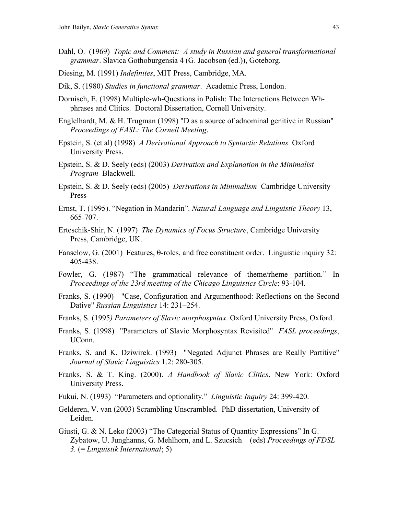- Dahl, O. (1969) *Topic and Comment: A study in Russian and general transformational grammar*. Slavica Gothoburgensia 4 (G. Jacobson (ed.)), Goteborg.
- Diesing, M. (1991) *Indefinites*, MIT Press, Cambridge, MA.
- Dik, S. (1980) *Studies in functional grammar*. Academic Press, London.
- Dornisch, E. (1998) Multiple-wh-Questions in Polish: The Interactions Between Whphrases and Clitics. Doctoral Dissertation, Cornell University.
- Englelhardt, M. & H. Trugman (1998) "D as a source of adnominal genitive in Russian" *Proceedings of FASL: The Cornell Meeting*.
- Epstein, S. (et al) (1998) *A Derivational Approach to Syntactic Relations* Oxford University Press.
- Epstein, S. & D. Seely (eds) (2003) *Derivation and Explanation in the Minimalist Program* Blackwell.
- Epstein, S. & D. Seely (eds) (2005) *Derivations in Minimalism* Cambridge University Press
- Ernst, T. (1995). "Negation in Mandarin". *Natural Language and Linguistic Theory* 13, 665-707.
- Erteschik-Shir, N. (1997) *The Dynamics of Focus Structure*, Cambridge University Press, Cambridge, UK.
- Fanselow, G. (2001) Features, θ-roles, and free constituent order. Linguistic inquiry 32: 405-438.
- Fowler, G. (1987) "The grammatical relevance of theme/rheme partition." In *Proceedings of the 23rd meeting of the Chicago Linguistics Circle*: 93-104.
- Franks, S. (1990) "Case, Configuration and Argumenthood: Reflections on the Second Dative" *Russian Linguistics* 14: 231–254.
- Franks, S. (1995*) Parameters of Slavic morphosyntax*. Oxford University Press, Oxford.
- Franks, S. (1998) "Parameters of Slavic Morphosyntax Revisited" *FASL proceedings*, UConn.
- Franks, S. and K. Dziwirek. (1993) "Negated Adjunct Phrases are Really Partitive" *Journal of Slavic Linguistics* 1.2: 280-305.
- Franks, S. & T. King. (2000). *A Handbook of Slavic Clitics*. New York: Oxford University Press.
- Fukui, N. (1993) "Parameters and optionality." *Linguistic Inquiry* 24: 399-420.
- Gelderen, V. van (2003) Scrambling Unscrambled. PhD dissertation, University of Leiden.
- Giusti, G. & N. Leko (2003) "The Categorial Status of Quantity Expressions" In G. Zybatow, U. Junghanns, G. Mehlhorn, and L. Szucsich (eds) *Proceedings of FDSL 3.* (= *Linguistik International*; 5)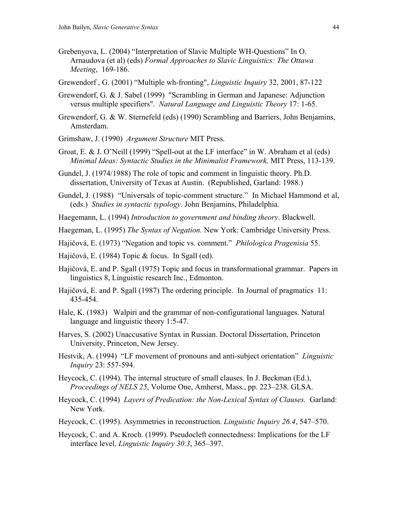- Grebenyova, L. (2004) "Interpretation of Slavic Multiple WH-Questions" In O. Arnaudova (et al) (eds) *Formal Approaches to Slavic Linguistics: The Ottawa Meeting*, 169-186.
- Grewendorf , G. (2001) "Multiple wh-fronting", *Linguistic Inquiry* 32, 2001, 87-122
- Grewendorf, G. & J. Sabel (1999) "Scrambling in German and Japanese: Adjunction versus multiple specifiers". *Natural Language and Linguistic Theory* 17: 1-65.
- Grewendorf, G. & W. Sternefeld (eds) (1990) Scrambling and Barriers, John Benjamins, Amsterdam.
- Grimshaw, J. (1990) *Argument Structure* MIT Press.
- Groat, E. & J. O'Neill (1999) "Spell-out at the LF interface" in W. Abraham et al (eds) *Minimal Ideas: Syntactic Studies in the Minimalist Framework,* MIT Press, 113-139.
- Gundel, J. (1974/1988) The role of topic and comment in linguistic theory. Ph.D. dissertation, University of Texas at Austin. (Republished, Garland: 1988.)
- Gundel, J. (1988) "Universals of topic-comment structure." In Michael Hammond et al, (eds.) *Studies in syntactic typology*. John Benjamins, Philadelphia.
- Haegemann, L. (1994) *Introduction to government and binding theory*. Blackwell.
- Haegeman, L. (1995) *The Syntax of Negation.* New York: Cambridge University Press.
- Hajičová, E. (1973) "Negation and topic vs. comment." *Philologica Pragenisia* 55.
- Hajičová, E. (1984) Topic & focus. In Sgall (ed).
- Hajičová, E. and P. Sgall (1975) Topic and focus in transformational grammar. Papers in linguistics 8, Linguistic research Inc., Edmonton.
- Hajičová, E. and P. Sgall (1987) The ordering principle. In Journal of pragmatics 11: 435-454.
- Hale, K. (1983) Walpiri and the grammar of non-configurational languages. Natural language and linguistic theory 1:5-47.
- Harves, S. (2002) Unaccusative Syntax in Russian. Doctoral Dissertation, Princeton University, Princeton, New Jersey.
- Hestvik, A. (1994) "LF movement of pronouns and anti-subject orientation" *Linguistic Inquiry* 23: 557-594.
- Heycock, C. (1994). The internal structure of small clauses. In J. Beckman (Ed.), *Proceedings of NELS 25*, Volume One, Amherst, Mass., pp. 223–238. GLSA.
- Heycock, C. (1994) *Layers of Predication: the Non-Lexical Syntax of Clauses.* Garland: New York.
- Heycock, C. (1995). Asymmetries in reconstruction. *Linguistic Inquiry 26.4*, 547–570.
- Heycock, C. and A. Kroch. (1999). Pseudocleft connectedness: Implications for the LF interface level. *Linguistic Inquiry 30.3*, 365–397.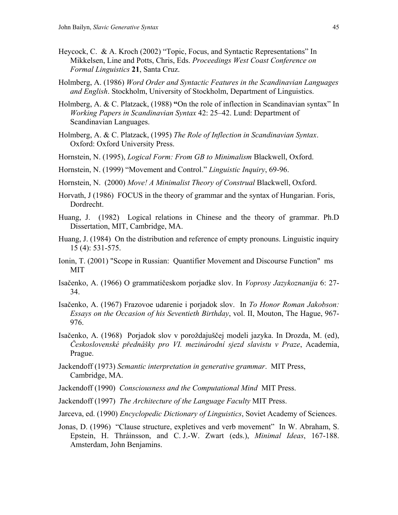- Heycock, C. & A. Kroch (2002) "Topic, Focus, and Syntactic Representations" In Mikkelsen, Line and Potts, Chris, Eds. *Proceedings West Coast Conference on Formal Linguistics* **21**, Santa Cruz.
- Holmberg, A. (1986) *Word Order and Syntactic Features in the Scandinavian Languages and English*. Stockholm, University of Stockholm, Department of Linguistics.
- Holmberg, A. & C. Platzack, (1988) **"**On the role of inflection in Scandinavian syntax" In *Working Papers in Scandinavian Syntax* 42: 25–42. Lund: Department of Scandinavian Languages.
- Holmberg, A. & C. Platzack, (1995) *The Role of Inflection in Scandinavian Syntax*. Oxford: Oxford University Press.
- Hornstein, N. (1995), *Logical Form: From GB to Minimalism* Blackwell, Oxford.
- Hornstein, N. (1999) "Movement and Control." *Linguistic Inquiry*, 69-96.
- Hornstein, N. (2000) *Move! A Minimalist Theory of Construal* Blackwell, Oxford.
- Horvath, J (1986) FOCUS in the theory of grammar and the syntax of Hungarian. Foris, Dordrecht.
- Huang, J. (1982) Logical relations in Chinese and the theory of grammar. Ph.D Dissertation, MIT, Cambridge, MA.
- Huang, J. (1984) On the distribution and reference of empty pronouns. Linguistic inquiry 15 (4): 531-575.
- Ionin, T. (2001) "Scope in Russian: Quantifier Movement and Discourse Function" ms MIT
- Isačenko, A. (1966) O grammatičeskom porjadke slov. In *Voprosy Jazykoznanija* 6: 27- 34.
- Isačenko, A. (1967) Frazovoe udarenie i porjadok slov. In *To Honor Roman Jakobson: Essays on the Occasion of his Seventieth Birthday*, vol. II, Mouton, The Hague, 967- 976.
- Isačenko, A. (1968) Porjadok slov v poroždajuščej modeli jazyka. In Drozda, M. (ed), *Československé přednášky pro VI. mezinárodní sjezd slavistu v Praze*, Academia, Prague.
- Jackendoff (1973) *Semantic interpretation in generative grammar*. MIT Press, Cambridge, MA.
- Jackendoff (1990) *Consciousness and the Computational Mind* MIT Press.
- Jackendoff (1997) *The Architecture of the Language Faculty* MIT Press.
- Jarceva, ed. (1990) *Encyclopedic Dictionary of Linguistics*, Soviet Academy of Sciences.
- Jonas, D. (1996) "Clause structure, expletives and verb movement" In W. Abraham, S. Epstein, H. Thráinsson, and C. J.-W. Zwart (eds.), *Minimal Ideas*, 167-188. Amsterdam, John Benjamins.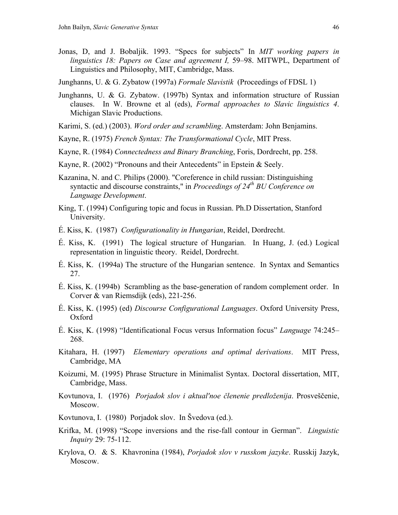- Jonas, D, and J. Bobaljik. 1993. "Specs for subjects" In *MIT working papers in linguistics 18: Papers on Case and agreement I,* 59–98. MITWPL, Department of Linguistics and Philosophy, MIT, Cambridge, Mass.
- Junghanns, U. & G. Zybatow (1997a) *Formale Slavistik* (Proceedings of FDSL 1)
- Junghanns, U. & G. Zybatow. (1997b) Syntax and information structure of Russian clauses. In W. Browne et al (eds), *Formal approaches to Slavic linguistics 4*. Michigan Slavic Productions.
- Karimi, S. (ed.) (2003). *Word order and scrambling*. Amsterdam: John Benjamins.
- Kayne, R. (1975) *French Syntax: The Transformational Cycle*, MIT Press.
- Kayne, R. (1984) *Connectedness and Binary Branching*, Foris, Dordrecht, pp. 258.
- Kayne, R. (2002) "Pronouns and their Antecedents" in Epstein & Seely.
- Kazanina, N. and C. Philips (2000). "Coreference in child russian: Distinguishing syntactic and discourse constraints," in *Proceedings of 24th BU Conference on Language Development*.
- King, T. (1994) Configuring topic and focus in Russian. Ph.D Dissertation, Stanford University.
- É. Kiss, K. (1987) *Configurationality in Hungarian*, Reidel, Dordrecht.
- É. Kiss, K. (1991) The logical structure of Hungarian. In Huang, J. (ed.) Logical representation in linguistic theory. Reidel, Dordrecht.
- É. Kiss, K. (1994a) The structure of the Hungarian sentence. In Syntax and Semantics 27.
- É. Kiss, K. (1994b) Scrambling as the base-generation of random complement order. In Corver & van Riemsdijk (eds), 221-256.
- É. Kiss, K. (1995) (ed) *Discourse Configurational Languages*. Oxford University Press, Oxford
- É. Kiss, K. (1998) "Identificational Focus versus Information focus" *Language* 74:245– 268.
- Kitahara, H. (1997) *Elementary operations and optimal derivations*. MIT Press, Cambridge, MA
- Koizumi, M. (1995) Phrase Structure in Minimalist Syntax. Doctoral dissertation, MIT, Cambridge, Mass.
- Kovtunova, I. (1976) *Porjadok slov i aktual'noe členenie predloženija*. Prosveščenie, Moscow.
- Kovtunova, I. (1980) Porjadok slov. In Švedova (ed.).
- Krifka, M. (1998) "Scope inversions and the rise-fall contour in German". *Linguistic Inquiry* 29: 75-112.
- Krylova, O. & S. Khavronina (1984), *Porjadok slov v russkom jazyke*. Russkij Jazyk, Moscow.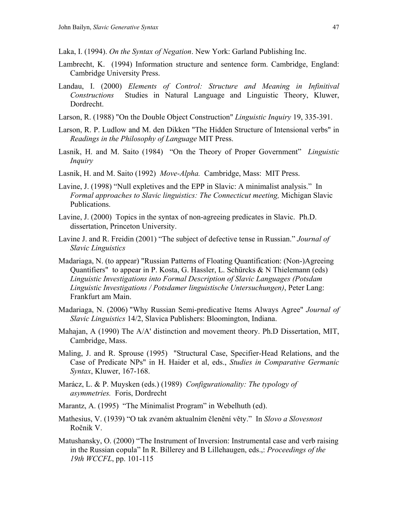- Laka, I. (1994). *On the Syntax of Negation*. New York: Garland Publishing Inc.
- Lambrecht, K. (1994) Information structure and sentence form. Cambridge, England: Cambridge University Press.
- Landau, I. (2000) *Elements of Control: Structure and Meaning in Infinitival Constructions* Studies in Natural Language and Linguistic Theory, Kluwer, Dordrecht.
- Larson, R. (1988) "On the Double Object Construction" *Linguistic Inquiry* 19, 335-391.
- Larson, R. P. Ludlow and M. den Dikken "The Hidden Structure of Intensional verbs" in *Readings in the Philosophy of Language* MIT Press.
- Lasnik, H. and M. Saito (1984) "On the Theory of Proper Government" *Linguistic Inquiry*
- Lasnik, H. and M. Saito (1992) *Move-Alpha.* Cambridge, Mass: MIT Press.
- Lavine, J. (1998) "Null expletives and the EPP in Slavic: A minimalist analysis." In *Formal approaches to Slavic linguistics: The Connecticut meeting,* Michigan Slavic Publications.
- Lavine, J. (2000) Topics in the syntax of non-agreeing predicates in Slavic. Ph.D. dissertation, Princeton University.
- Lavine J. and R. Freidin (2001) "The subject of defective tense in Russian." *Journal of Slavic Linguistics*
- Madariaga, N. (to appear) ["Russian Patterns of Floating Quantification: \(Non-\)Agreeing](http://www.ehu.es/nereamadariaga/Russian%20floating%20quantifiers.pdf)  [Quantifiers"](http://www.ehu.es/nereamadariaga/Russian%20floating%20quantifiers.pdf) to appear in P. Kosta, G. Hassler, L. Schürcks & N Thielemann (eds) *Linguistic Investigations into Formal Description of Slavic Languages (Potsdam Linguistic Investigations / Potsdamer linguistische Untersuchungen)*, Peter Lang: Frankfurt am Main.
- Madariaga, N. (2006) ["Why Russian Semi-predicative Items Always Agree"](http://www.ehu.es/nereamadariaga/Russian%20semi-predicative.pdf) *Journal of Slavic Linguistics* 14/2, Slavica Publishers: Bloomington, Indiana.
- Mahajan, A (1990) The A/A' distinction and movement theory. Ph.D Dissertation, MIT, Cambridge, Mass.
- Maling, J. and R. Sprouse (1995) "Structural Case, Specifier-Head Relations, and the Case of Predicate NPs" in H. Haider et al, eds., *Studies in Comparative Germanic Syntax*, Kluwer, 167-168.
- Marácz, L. & P. Muysken (eds.) (1989) *Configurationality: The typology of asymmetries.* Foris, Dordrecht
- Marantz, A. (1995) "The Minimalist Program" in Webelhuth (ed).
- Mathesius, V. (1939) "O tak zvaném aktualním členění věty." In *Slovo a Slovesnost*  Ročnik V.
- Matushansky, O. (2000) "The Instrument of Inversion: Instrumental case and verb raising in the Russian copula" In R. Billerey and B Lillehaugen, eds.,: *Proceedings of the 19th WCCFL*, pp. 101-115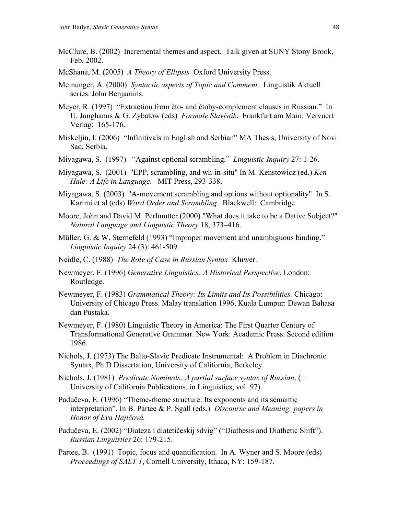- McClure, B. (2002) Incremental themes and aspect. Talk given at SUNY Stony Brook, Feb, 2002.
- McShane, M. (2005) *A Theory of Ellipsis* Oxford University Press.
- Meinunger, A. (2000) *Syntactic aspects of Topic and Comment.* Linguistik Aktuell series. John Benjamins.
- Meyer, R. (1997) "Extraction from čto- and čtoby-complement clauses in Russian." In U. Junghanns & G. Zybatow (eds) *Formale Slavistik*. Frankfurt am Main: Vervuert Verlag: 165-176.
- Miskeljin, I. (2006) "Infinitivals in English and Serbian" MA Thesis, University of Novi Sad, Serbia.
- Miyagawa, S. (1997) "Against optional scrambling." *Linguistic Inquiry* 27: 1-26.
- Miyagawa, S. (2001) "EPP, scrambling, and wh-in-situ" In M. Kenstowicz (ed.) *Ken Hale: A Life in Language*. MIT Press, 293-338.
- Miyagawa, S. (2003) "A-movement scrambling and options without optionality" In S. Karimi et al (eds) *Word Order and Scrambling.* Blackwell: Cambridge.
- Moore, John and David M. Perlmutter (2000) "What does it take to be a Dative Subject?" *Natural Language and Linguistic Theory* 18, 373–416.
- Müller, G. & W. Sternefeld (1993) "Improper movement and unambiguous binding." *Linguistic Inquiry* 24 (3): 461-509.
- Neidle, C. (1988) *The Role of Case in Russian Syntax* Kluwer.
- Newmeyer, F. (1996) *Generative Linguistics: A Historical Perspective.* London: Routledge.
- Newmeyer, F. (1983) *Grammatical Theory: Its Limits and Its Possibilities.* Chicago: University of Chicago Press. Malay translation 1996, Kuala Lumpur: Dewan Bahasa dan Pustaka.
- Newmeyer, F. (1980) Linguistic Theory in America: The First Quarter Century of Transformational Generative Grammar. New York: Academic Press. Second edition 1986.
- Nichols, J. (1973) The Balto-Slavic Predicate Instrumental: A Problem in Diachronic Syntax, Ph.D Dissertation, University of California, Berkeley.
- Nichols, J. (1981) *Predicate Nominals: A partial surface syntax of Russian*. (= University of California Publications. in Linguistics, vol. 97)
- Padučeva, E. (1996) "Theme-rheme structure: Its exponents and its semantic interpretation". In B. Partee & P. Sgall (eds.) *Discourse and Meaning: papers in Honor of Eva Hajičová.*
- Padučeva, E. (2002) "Diateza i diatetičeskij sdvig" ("Diathesis and Diathetic Shift"). *Russian Linguistics* 26: 179-215.
- Partee, B. (1991) Topic, focus and quantification. In A. Wyner and S. Moore (eds) *Proceedings of SALT 1*, Cornell University, Ithaca, NY: 159-187.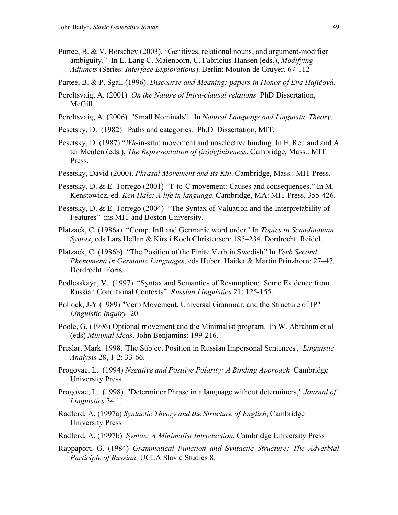Partee, B. & V. Borschev (2003). "Genitives, relational nouns, and argument-modifier ambiguity." In E. Lang C. Maienborn, C. Fabricius-Hansen (eds.), *Modifying Adjuncts* (Series: *Interface Explorations*). Berlin: Mouton de Gruyer. 67-112

Partee, B. & P. Sgall (1996). *Discourse and Meaning: papers in Honor of Eva Hajičová.*

- Pereltsvaig, A. (2001) *On the Nature of Intra-clausal relations* PhD Dissertation, McGill.
- Pereltsvaig, A. (2006) "Small Nominals". In *Natural Language and Linguistic Theory*.
- Pesetsky, D. (1982) Paths and categories. Ph.D. Dissertation, MIT.
- Pesetsky, D. (1987) "*Wh*-in-situ: movement and unselective binding. In E. Reuland and A ter Meulen (eds.), *The Representation of (in)definiteness*. Cambridge, Mass.: MIT Press.
- Pesetsky, David (2000). *Phrasal Movement and Its Kin*. Cambridge, Mass.: MIT Press.
- Pesetsky, D. & E. Torrego (2001) "T-to-C movement: Causes and consequences." In M. Kenstowicz, ed. *Ken Hale: A life in language*. Cambridge, MA: MIT Press, 355-426.
- Pesetsky, D. & E. Torrego (2004) "The Syntax of Valuation and the Interpretability of Features" ms MIT and Boston University.
- Platzack, C. (1986a) "Comp, Infl and Germanic word order*"* In *Topics in Scandinavian Syntax*, eds Lars Hellan & Kirsti Koch Christensen: 185–234. Dordrecht: Reidel.
- Platzack, C. (1986b) "The Position of the Finite Verb in Swedish" In *Verb Second Phenomena in Germanic Languages*, eds Hubert Haider & Martin Prinzhorn: 27–47. Dordrecht: Foris.
- Podlesskaya, V. (1997) "Syntax and Semantics of Resumption: Some Evidence from Russian Conditional Contexts" *Russian Linguistics* 21: 125-155.
- Pollock, J-Y (1989) "Verb Movement, Universal Grammar, and the Structure of IP" *Linguistic Inquiry* 20.
- Poole, G. (1996) Optional movement and the Minimalist program. In W. Abraham et al (eds) *Minimal ideas*. John Benjamins: 199-216.
- Preslar, Mark. 1998. 'The Subject Position in Russian Impersonal Sentences', *Linguistic Analysis* 28, 1-2: 33-66.
- Progovac, L. (1994) *Negative and Positive Polarity: A Binding Approach* Cambridge University Press
- Progovac, L. (1998) "Determiner Phrase in a language without determiners," *Journal of Linguistics* 34.1.
- Radford, A. (1997a) *Syntactic Theory and the Structure of English*, Cambridge University Press
- Radford, A. (1997b) *Syntax: A Minimalist Introduction*, Cambridge University Press
- Rappaport, G. (1984) *Grammatical Function and Syntactic Structure: The Adverbial Participle of Russian*. UCLA Slavic Studies 8.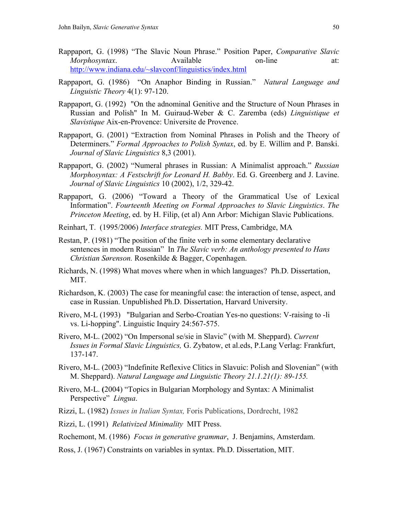- Rappaport, G. (1998) "The Slavic Noun Phrase." Position Paper, *Comparative Slavic Morphosyntax*. Available on-line at: <http://www.indiana.edu/~slavconf/linguistics/index.html>
- Rappaport, G. (1986) "On Anaphor Binding in Russian." *Natural Language and Linguistic Theory* 4(1): 97-120.
- Rappaport, G. (1992) "On the adnominal Genitive and the Structure of Noun Phrases in Russian and Polish" In M. Guiraud-Weber & C. Zaremba (eds) *Linguistique et Slavistique* Aix-en-Provence: Universite de Provence.
- Rappaport, G. (2001) "Extraction from Nominal Phrases in Polish and the Theory of Determiners." *Formal Approaches to Polish Syntax*, ed. by E. Willim and P. Banski. *Journal of Slavic Linguistics* 8,3 (2001).
- Rappaport, G. (2002) "Numeral phrases in Russian: A Minimalist approach." *Russian Morphosyntax: A Festschrift for Leonard H. Babby*. Ed. G. Greenberg and J. Lavine. *Journal of Slavic Linguistics* 10 (2002), 1/2, 329-42.
- Rappaport, G. (2006) "Toward a Theory of the Grammatical Use of Lexical Information". *Fourteenth Meeting on Formal Approaches to Slavic Linguistics*. *The Princeton Meeting*, ed. by H. Filip, (et al) Ann Arbor: Michigan Slavic Publications.
- Reinhart, T. (1995/2006) *Interface strategies.* MIT Press, Cambridge, MA
- Restan, P. (1981) "The position of the finite verb in some elementary declarative sentences in modern Russian" In *The Slavic verb: An anthology presented to Hans Christian Sørenson.* Rosenkilde & Bagger, Copenhagen.
- Richards, N. (1998) What moves where when in which languages? Ph.D. Dissertation, MIT.
- Richardson, K. (2003) The case for meaningful case: the interaction of tense, aspect, and case in Russian. Unpublished Ph.D. Dissertation, Harvard University.
- Rivero, M-L (1993)"Bulgarian and Serbo-Croatian Yes-no questions: V-raising to -li vs. Li-hopping". Linguistic Inquiry 24:567-575.
- Rivero, M-L. (2002) "On Impersonal se/sie in Slavic" (with M. Sheppard). *Current Issues in Formal Slavic Linguistics,* G. Zybatow, et al.eds, P.Lang Verlag: Frankfurt, 137-147.
- Rivero, M-L. (2003) "Indefinite Reflexive Clitics in Slavuic: Polish and Slovenian" (with M. Sheppard). *Natural Language and Linguistic Theory 21.1.21(1): 89-155.*
- Rivero, M-L. **(**2004) "Topics in Bulgarian Morphology and Syntax: A Minimalist Perspective" *Lingua*.
- Rizzi, L. (1982) *Issues in Italian Syntax,* Foris Publications, Dordrecht, 1982
- Rizzi, L. (1991) *Relativized Minimality* MIT Press.
- Rochemont, M. (1986) *Focus in generative grammar*, J. Benjamins, Amsterdam.
- Ross, J. (1967) Constraints on variables in syntax. Ph.D. Dissertation, MIT.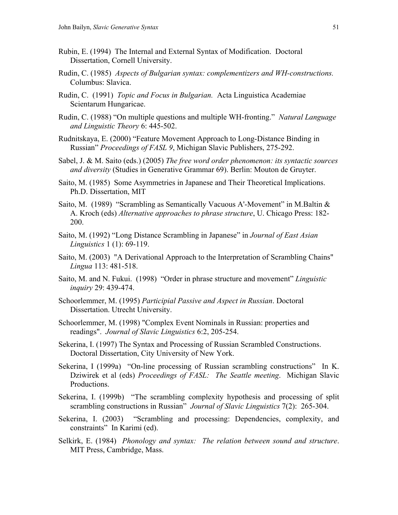- Rubin, E. (1994) The Internal and External Syntax of Modification. Doctoral Dissertation, Cornell University.
- Rudin, C. (1985) *Aspects of Bulgarian syntax: complementizers and WH-constructions.*  Columbus: Slavica.
- Rudin, C. (1991) *Topic and Focus in Bulgarian.* Acta Linguistica Academiae Scientarum Hungaricae.
- Rudin, C. (1988) "On multiple questions and multiple WH-fronting." *Natural Language and Linguistic Theory* 6: 445-502.
- Rudnitskaya, E. (2000) "Feature Movement Approach to Long-Distance Binding in Russian" *Proceedings of FASL 9*, Michigan Slavic Publishers, 275-292.
- Sabel, J. & M. Saito (eds.) (2005) *The free word order phenomenon: its syntactic sources and diversity* (Studies in Generative Grammar 69). Berlin: Mouton de Gruyter.
- Saito, M. (1985) Some Asymmetries in Japanese and Their Theoretical Implications. Ph.D. Dissertation, MIT
- Saito, M. (1989) "Scrambling as Semantically Vacuous A'-Movement" in M.Baltin & A. Kroch (eds) *Alternative approaches to phrase structure*, U. Chicago Press: 182- 200.
- Saito, M. (1992) "Long Distance Scrambling in Japanese" in *Journal of East Asian Linguistics* 1 (1): 69-119.
- Saito, M. (2003) "A Derivational Approach to the Interpretation of Scrambling Chains" *Lingua* 113: 481-518.
- Saito, M. and N. Fukui. (1998) "Order in phrase structure and movement" *Linguistic inquiry* 29: 439-474.
- Schoorlemmer, M. (1995) *Participial Passive and Aspect in Russian*. Doctoral Dissertation. Utrecht University.
- Schoorlemmer, M. (1998) "Complex Event Nominals in Russian: properties and readings". *Journal of Slavic Linguistics* 6:2, 205-254.
- Sekerina, I. (1997) The Syntax and Processing of Russian Scrambled Constructions. Doctoral Dissertation, City University of New York.
- Sekerina, I (1999a) "On-line processing of Russian scrambling constructions" In K. Dziwirek et al (eds) *Proceedings of FASL: The Seattle meeting*. Michigan Slavic Productions.
- Sekerina, I. (1999b) "The scrambling complexity hypothesis and processing of split scrambling constructions in Russian" *Journal of Slavic Linguistics* 7(2): 265-304.
- Sekerina, I. (2003) "Scrambling and processing: Dependencies, complexity, and constraints" In Karimi (ed).
- Selkirk, E. (1984) *Phonology and syntax: The relation between sound and structure*. MIT Press, Cambridge, Mass.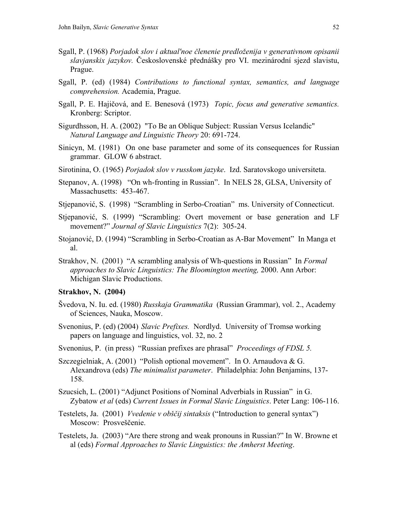- Sgall, P. (1968) *Porjadok slov i aktual'noe členenie predloženija v generativnom opisanii slavjanskix jazykov.* Československé přednášky pro VI. mezinárodní sjezd slavistu, Prague.
- Sgall, P. (ed) (1984) *Contributions to functional syntax, semantics, and language comprehension.* Academia, Prague.
- Sgall, P. E. Hajičová, and E. Benesová (1973) *Topic, focus and generative semantics.* Kronberg: Scriptor.
- Sigurdhsson, H. A. (2002) "To Be an Oblique Subject: Russian Versus Icelandic" *Natural Language and Linguistic Theory* 20: 691-724.
- Sinicyn, M. (1981) On one base parameter and some of its consequences for Russian grammar. GLOW 6 abstract.
- Sirotinina, O. (1965) *Porjadok slov v russkom jazyke*. Izd. Saratovskogo universiteta.
- Stepanov, A. (1998) "On wh-fronting in Russian". In NELS 28, GLSA, University of Massachusetts: 453-467.
- Stjepanović, S. (1998) "Scrambling in Serbo-Croatian" ms. University of Connecticut.
- Stjepanović, S. (1999) "Scrambling: Overt movement or base generation and LF movement?" *Journal of Slavic Linguistics* 7(2): 305-24.
- Stojanović, D. (1994) "Scrambling in Serbo-Croatian as A-Bar Movement" In Manga et al.
- Strakhov, N. (2001) "A scrambling analysis of Wh-questions in Russian" In *Formal approaches to Slavic Linguistics: The Bloomington meeting,* 2000. Ann Arbor: Michigan Slavic Productions.

# **Strakhov, N. (2004)**

- Švedova, N. Iu. ed. (1980) *Russkaja Grammatika* (Russian Grammar), vol. 2., Academy of Sciences, Nauka, Moscow.
- Svenonius, P. (ed) (2004) *Slavic Prefixes.* Nordlyd. University of Tromsø working papers on language and linguistics, vol. 32, no. 2
- Svenonius, P. (in press) "Russian prefixes are phrasal" *Proceedings of FDSL 5.*
- Szczegielniak, A. (2001) "Polish optional movement". In O. Arnaudova & G. Alexandrova (eds) *The minimalist parameter*. Philadelphia: John Benjamins, 137- 158.
- Szucsich, L. (2001) "Adjunct Positions of Nominal Adverbials in Russian" in G. Zybatow *et al* (eds) *Current Issues in Formal Slavic Linguistics*. Peter Lang: 106-116.
- Testelets, Ja. (2001) *Vvedenie v obščij sintaksis* ("Introduction to general syntax") Moscow: Prosveščenie.
- Testelets, Ja. (2003) "Are there strong and weak pronouns in Russian?" In W. Browne et al (eds) *Formal Approaches to Slavic Linguistics: the Amherst Meeting*.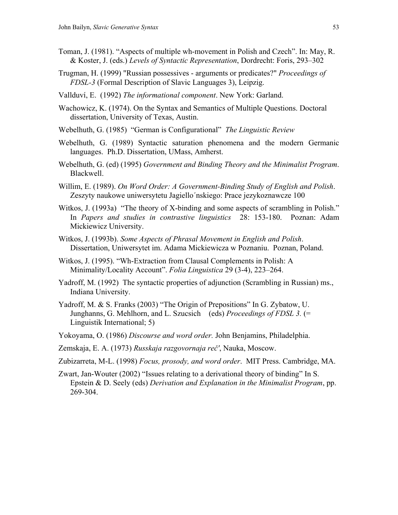- Toman, J. (1981). "Aspects of multiple wh-movement in Polish and Czech". In: May, R. & Koster, J. (eds.) *Levels of Syntactic Representation*, Dordrecht: Foris, 293–302
- Trugman, H. (1999) "Russian possessives arguments or predicates?" *Proceedings of FDSL-3* (Formal Description of Slavic Languages 3), Leipzig.
- Vallduví, E. (1992) *The informational component*. New York: Garland.
- Wachowicz, K. (1974). On the Syntax and Semantics of Multiple Questions. Doctoral dissertation, University of Texas, Austin.
- Webelhuth, G. (1985) "German is Configurational" *The Linguistic Review*
- Webelhuth, G. (1989) Syntactic saturation phenomena and the modern Germanic languages. Ph.D. Dissertation, UMass, Amherst.
- Webelhuth, G. (ed) (1995) *Government and Binding Theory and the Minimalist Program*. Blackwell.
- Willim, E. (1989). *On Word Order: A Government-Binding Study of English and Polish*. Zeszyty naukowe uniwersytetu Jagiello´nskiego: Prace jezykoznawcze 100
- Witkos, J. (1993a) "The theory of X-binding and some aspects of scrambling in Polish." In *Papers and studies in contrastive linguistics* 28: 153-180. Poznan: Adam Mickiewicz University.
- Witkos, J. (1993b). *Some Aspects of Phrasal Movement in English and Polish*. Dissertation, Uniwersytet im. Adama Mickiewicza w Poznaniu. Poznan, Poland.
- Witkos, J. (1995). "Wh-Extraction from Clausal Complements in Polish: A Minimality/Locality Account". *Folia Linguistica* 29 (3-4), 223–264.
- Yadroff, M. (1992) The syntactic properties of adjunction (Scrambling in Russian) ms., Indiana University.
- Yadroff, M. & S. Franks (2003) "The Origin of Prepositions" In G. Zybatow, U. Junghanns, G. Mehlhorn, and L. Szucsich (eds) *Proceedings of FDSL 3.* (= Linguistik International; 5)
- Yokoyama, O. (1986) *Discourse and word order.* John Benjamins, Philadelphia.
- Zemskaja, E. A. (1973) *Russkaja razgovornaja reč'*, Nauka, Moscow.
- Zubizarreta, M-L. (1998) *Focus, prosody, and word order*. MIT Press. Cambridge, MA.
- Zwart, Jan-Wouter (2002) "Issues relating to a derivational theory of binding" In S. Epstein & D. Seely (eds) *Derivation and Explanation in the Minimalist Program*, pp. 269-304.